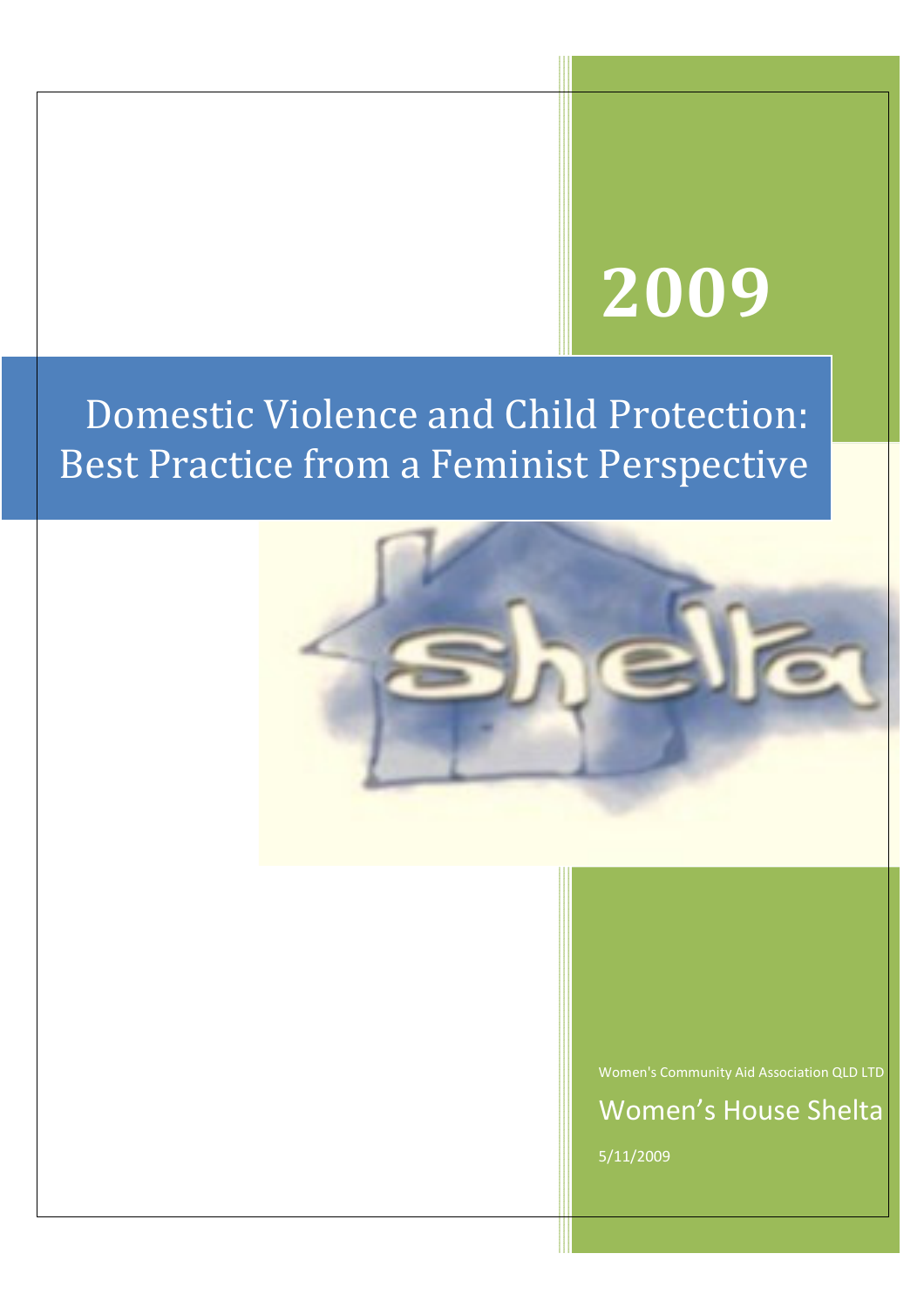# 2009

Domestic Violence and Child Protection: Best Practice from a Feminist Perspective



Women's Community Aid Association QLD LTD

Women's House Shelta 5/11/2009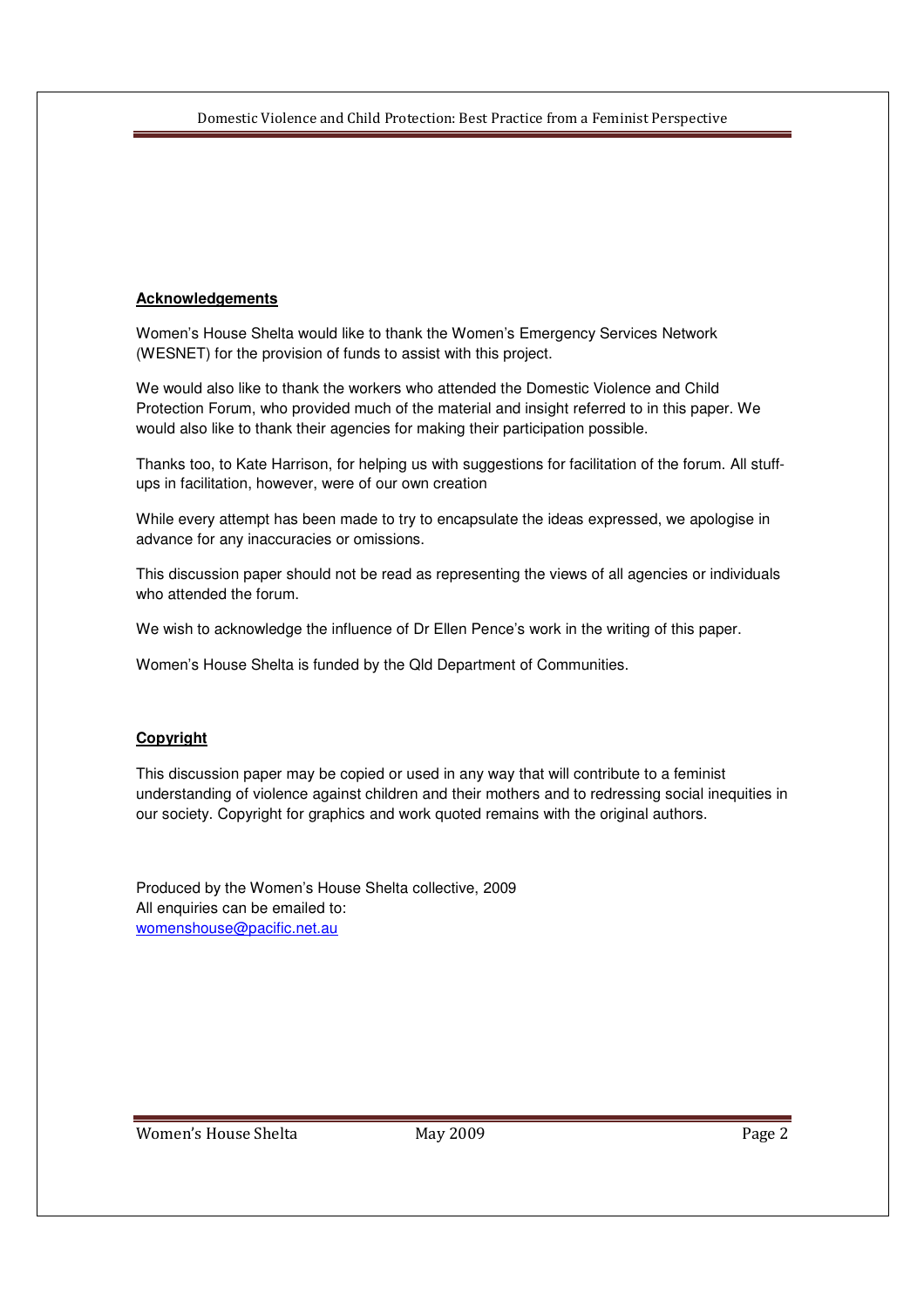#### **Acknowledgements**

Women's House Shelta would like to thank the Women's Emergency Services Network (WESNET) for the provision of funds to assist with this project.

We would also like to thank the workers who attended the Domestic Violence and Child Protection Forum, who provided much of the material and insight referred to in this paper. We would also like to thank their agencies for making their participation possible.

Thanks too, to Kate Harrison, for helping us with suggestions for facilitation of the forum. All stuffups in facilitation, however, were of our own creation

While every attempt has been made to try to encapsulate the ideas expressed, we apologise in advance for any inaccuracies or omissions.

This discussion paper should not be read as representing the views of all agencies or individuals who attended the forum.

We wish to acknowledge the influence of Dr Ellen Pence's work in the writing of this paper.

Women's House Shelta is funded by the Qld Department of Communities.

#### **Copyright**

This discussion paper may be copied or used in any way that will contribute to a feminist understanding of violence against children and their mothers and to redressing social inequities in our society. Copyright for graphics and work quoted remains with the original authors.

Produced by the Women's House Shelta collective, 2009 All enquiries can be emailed to: womenshouse@pacific.net.au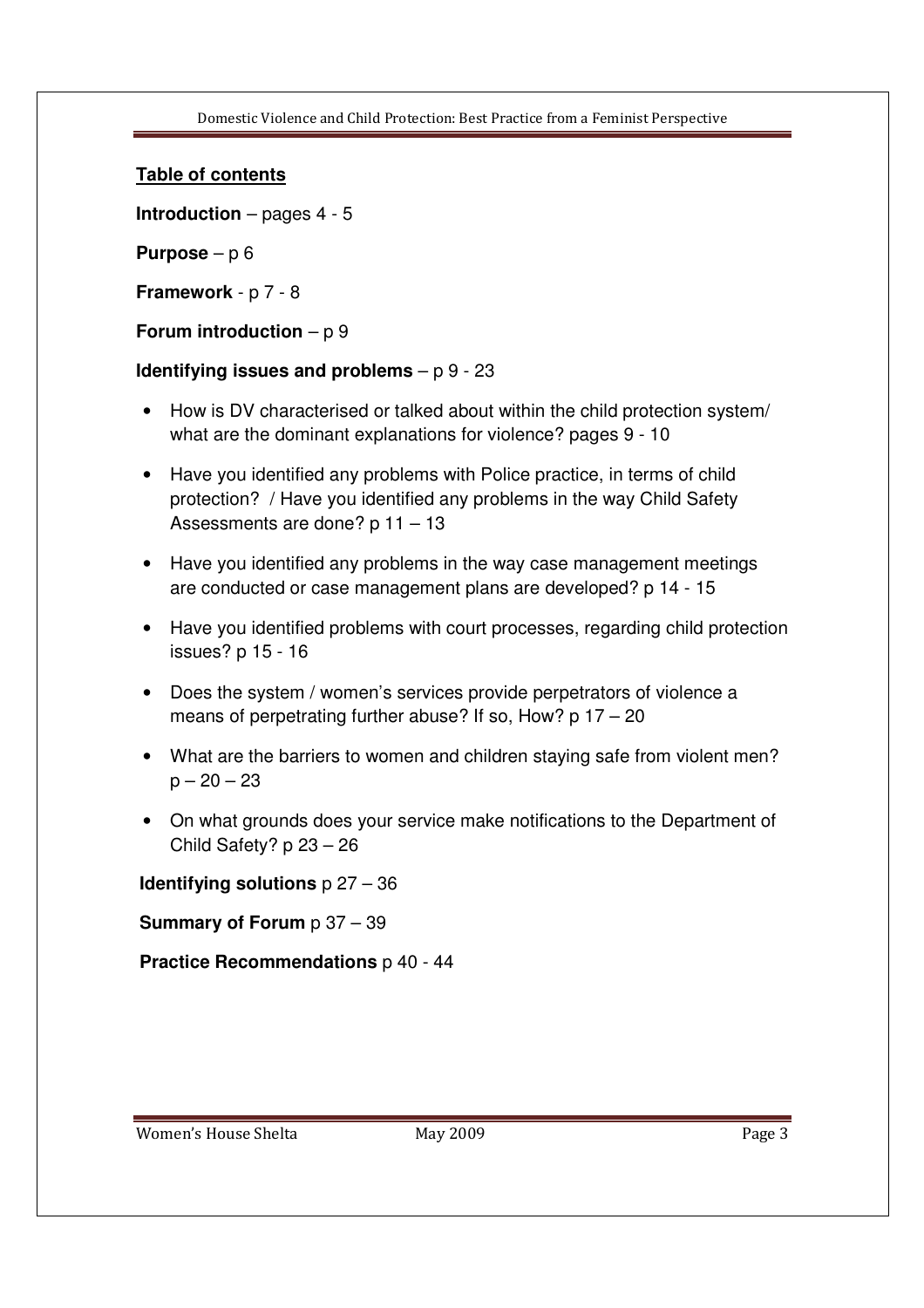#### **Table of contents**

**Introduction** – pages 4 - 5

**Purpose** – p 6

**Framework** - p 7 - 8

#### **Forum introduction** – p 9

#### **Identifying issues and problems** – p 9 - 23

- How is DV characterised or talked about within the child protection system/ what are the dominant explanations for violence? pages 9 - 10
- Have you identified any problems with Police practice, in terms of child protection? / Have you identified any problems in the way Child Safety Assessments are done? p 11 – 13
- Have you identified any problems in the way case management meetings are conducted or case management plans are developed? p 14 - 15
- Have you identified problems with court processes, regarding child protection issues? p 15 - 16
- Does the system / women's services provide perpetrators of violence a means of perpetrating further abuse? If so, How? p 17 – 20
- What are the barriers to women and children staying safe from violent men?  $p - 20 - 23$
- On what grounds does your service make notifications to the Department of Child Safety? p 23 – 26

#### **Identifying solutions** p 27 – 36

#### **Summary of Forum p 37 – 39**

**Practice Recommendations** p 40 - 44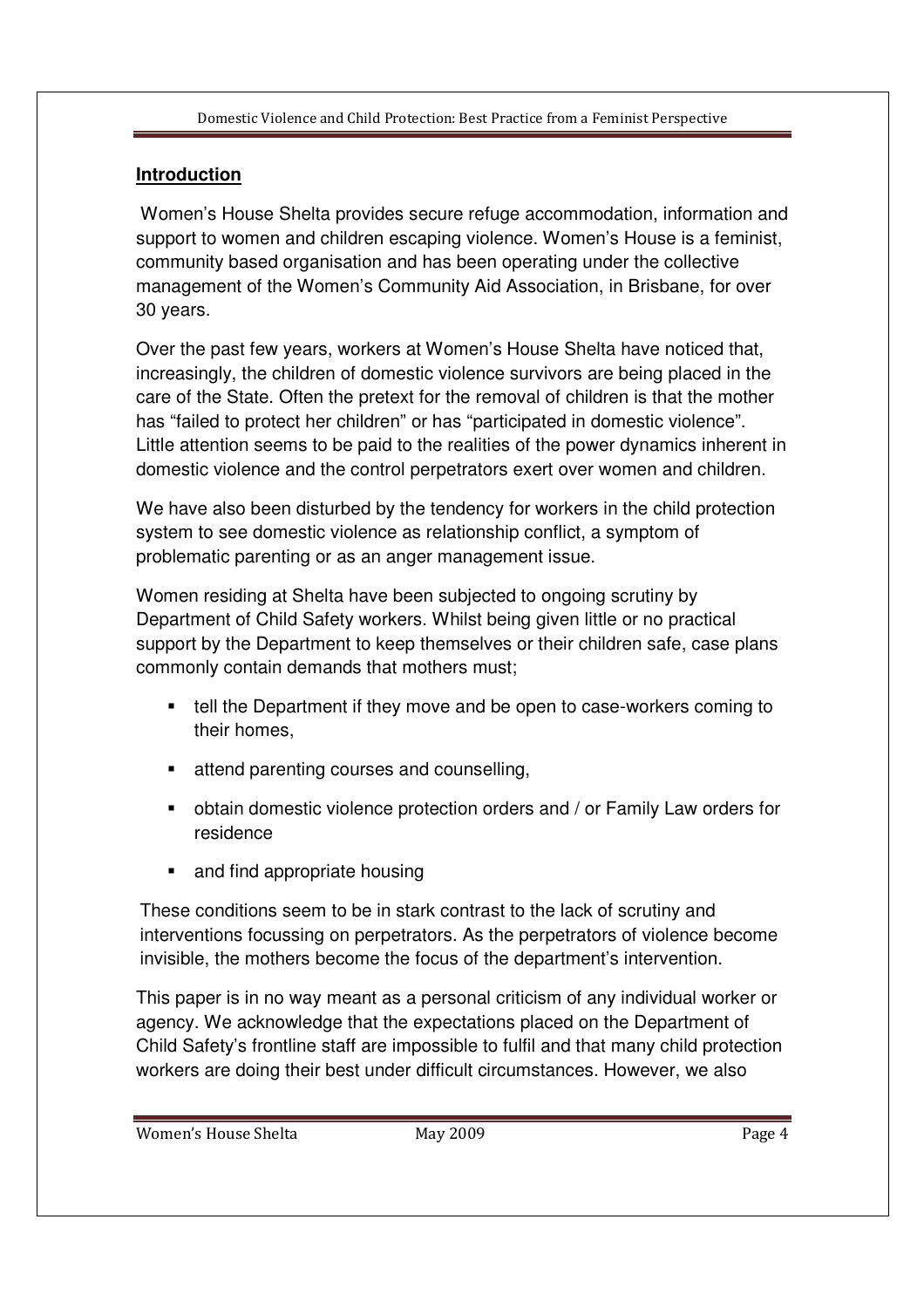# **Introduction**

 Women's House Shelta provides secure refuge accommodation, information and support to women and children escaping violence. Women's House is a feminist, community based organisation and has been operating under the collective management of the Women's Community Aid Association, in Brisbane, for over 30 years.

Over the past few years, workers at Women's House Shelta have noticed that, increasingly, the children of domestic violence survivors are being placed in the care of the State. Often the pretext for the removal of children is that the mother has "failed to protect her children" or has "participated in domestic violence". Little attention seems to be paid to the realities of the power dynamics inherent in domestic violence and the control perpetrators exert over women and children.

We have also been disturbed by the tendency for workers in the child protection system to see domestic violence as relationship conflict, a symptom of problematic parenting or as an anger management issue.

Women residing at Shelta have been subjected to ongoing scrutiny by Department of Child Safety workers. Whilst being given little or no practical support by the Department to keep themselves or their children safe, case plans commonly contain demands that mothers must;

- tell the Department if they move and be open to case-workers coming to their homes,
- **EXECUTE:** attend parenting courses and counselling,
- obtain domestic violence protection orders and / or Family Law orders for residence
- and find appropriate housing

These conditions seem to be in stark contrast to the lack of scrutiny and interventions focussing on perpetrators. As the perpetrators of violence become invisible, the mothers become the focus of the department's intervention.

This paper is in no way meant as a personal criticism of any individual worker or agency. We acknowledge that the expectations placed on the Department of Child Safety's frontline staff are impossible to fulfil and that many child protection workers are doing their best under difficult circumstances. However, we also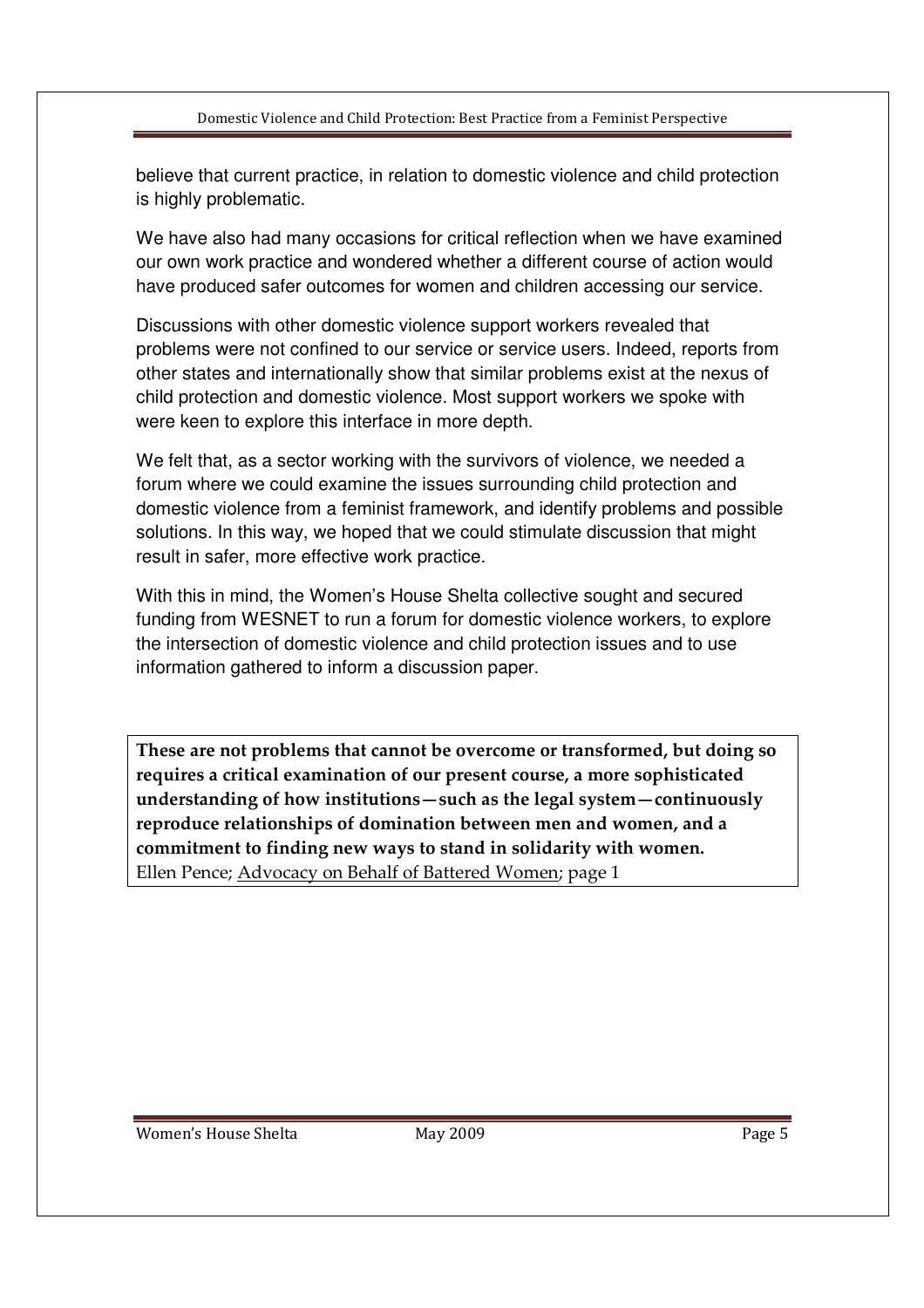believe that current practice, in relation to domestic violence and child protection is highly problematic.

We have also had many occasions for critical reflection when we have examined our own work practice and wondered whether a different course of action would have produced safer outcomes for women and children accessing our service.

Discussions with other domestic violence support workers revealed that problems were not confined to our service or service users. Indeed, reports from other states and internationally show that similar problems exist at the nexus of child protection and domestic violence. Most support workers we spoke with were keen to explore this interface in more depth.

We felt that, as a sector working with the survivors of violence, we needed a forum where we could examine the issues surrounding child protection and domestic violence from a feminist framework, and identify problems and possible solutions. In this way, we hoped that we could stimulate discussion that might result in safer, more effective work practice.

With this in mind, the Women's House Shelta collective sought and secured funding from WESNET to run a forum for domestic violence workers, to explore the intersection of domestic violence and child protection issues and to use information gathered to inform a discussion paper.

These are not problems that cannot be overcome or transformed, but doing so requires a critical examination of our present course, a more sophisticated understanding of how institutions—such as the legal system—continuously reproduce relationships of domination between men and women, and a commitment to finding new ways to stand in solidarity with women. Ellen Pence; Advocacy on Behalf of Battered Women; page 1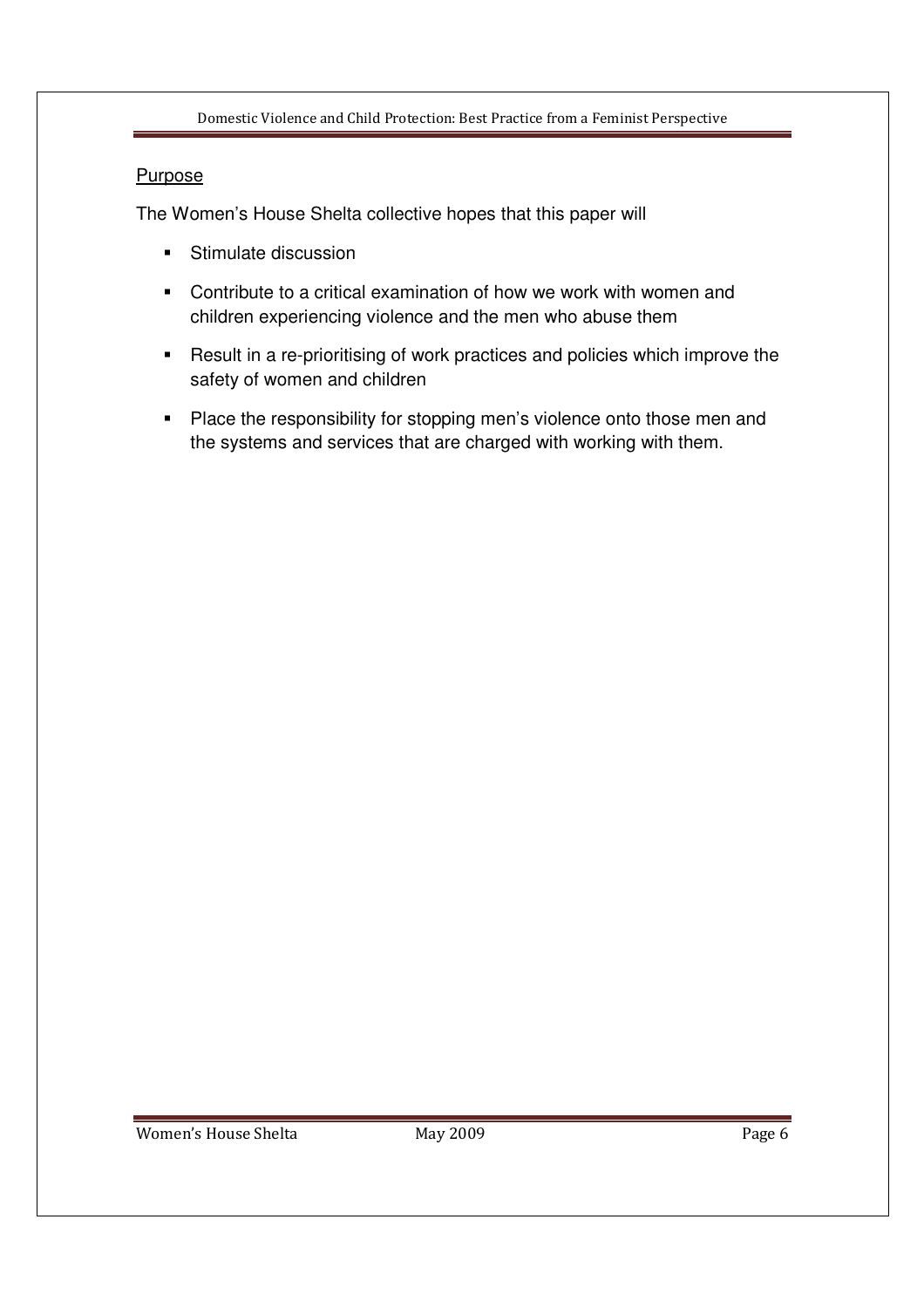## **Purpose**

The Women's House Shelta collective hopes that this paper will

- **Stimulate discussion**
- Contribute to a critical examination of how we work with women and children experiencing violence and the men who abuse them
- **-** Result in a re-prioritising of work practices and policies which improve the safety of women and children
- **Place the responsibility for stopping men's violence onto those men and** the systems and services that are charged with working with them.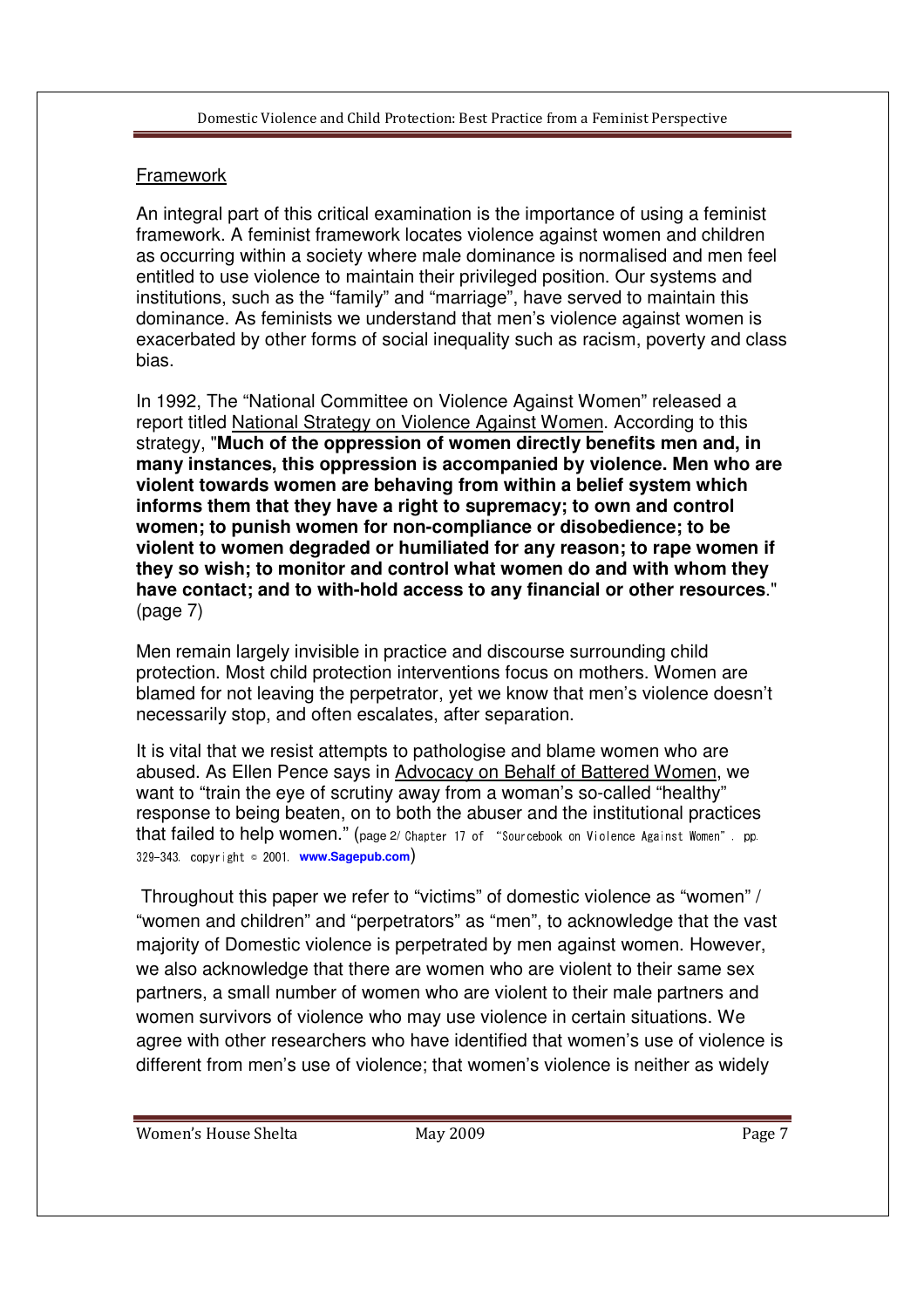## **Framework**

An integral part of this critical examination is the importance of using a feminist framework. A feminist framework locates violence against women and children as occurring within a society where male dominance is normalised and men feel entitled to use violence to maintain their privileged position. Our systems and institutions, such as the "family" and "marriage", have served to maintain this dominance. As feminists we understand that men's violence against women is exacerbated by other forms of social inequality such as racism, poverty and class bias.

In 1992, The "National Committee on Violence Against Women" released a report titled National Strategy on Violence Against Women. According to this strategy, "**Much of the oppression of women directly benefits men and, in many instances, this oppression is accompanied by violence. Men who are violent towards women are behaving from within a belief system which informs them that they have a right to supremacy; to own and control women; to punish women for non-compliance or disobedience; to be violent to women degraded or humiliated for any reason; to rape women if they so wish; to monitor and control what women do and with whom they have contact; and to with-hold access to any financial or other resources**." (page 7)

Men remain largely invisible in practice and discourse surrounding child protection. Most child protection interventions focus on mothers. Women are blamed for not leaving the perpetrator, yet we know that men's violence doesn't necessarily stop, and often escalates, after separation.

It is vital that we resist attempts to pathologise and blame women who are abused. As Ellen Pence says in Advocacy on Behalf of Battered Women, we want to "train the eye of scrutiny away from a woman's so-called "healthy" response to being beaten, on to both the abuser and the institutional practices that failed to help women." (page 2/ Chapter 17 of "Sourcebook on Violence Against Women", pp. 329-343, copyright © 2001, **www.Sagepub.com**)

 Throughout this paper we refer to "victims" of domestic violence as "women" / "women and children" and "perpetrators" as "men", to acknowledge that the vast majority of Domestic violence is perpetrated by men against women. However, we also acknowledge that there are women who are violent to their same sex partners, a small number of women who are violent to their male partners and women survivors of violence who may use violence in certain situations. We agree with other researchers who have identified that women's use of violence is different from men's use of violence; that women's violence is neither as widely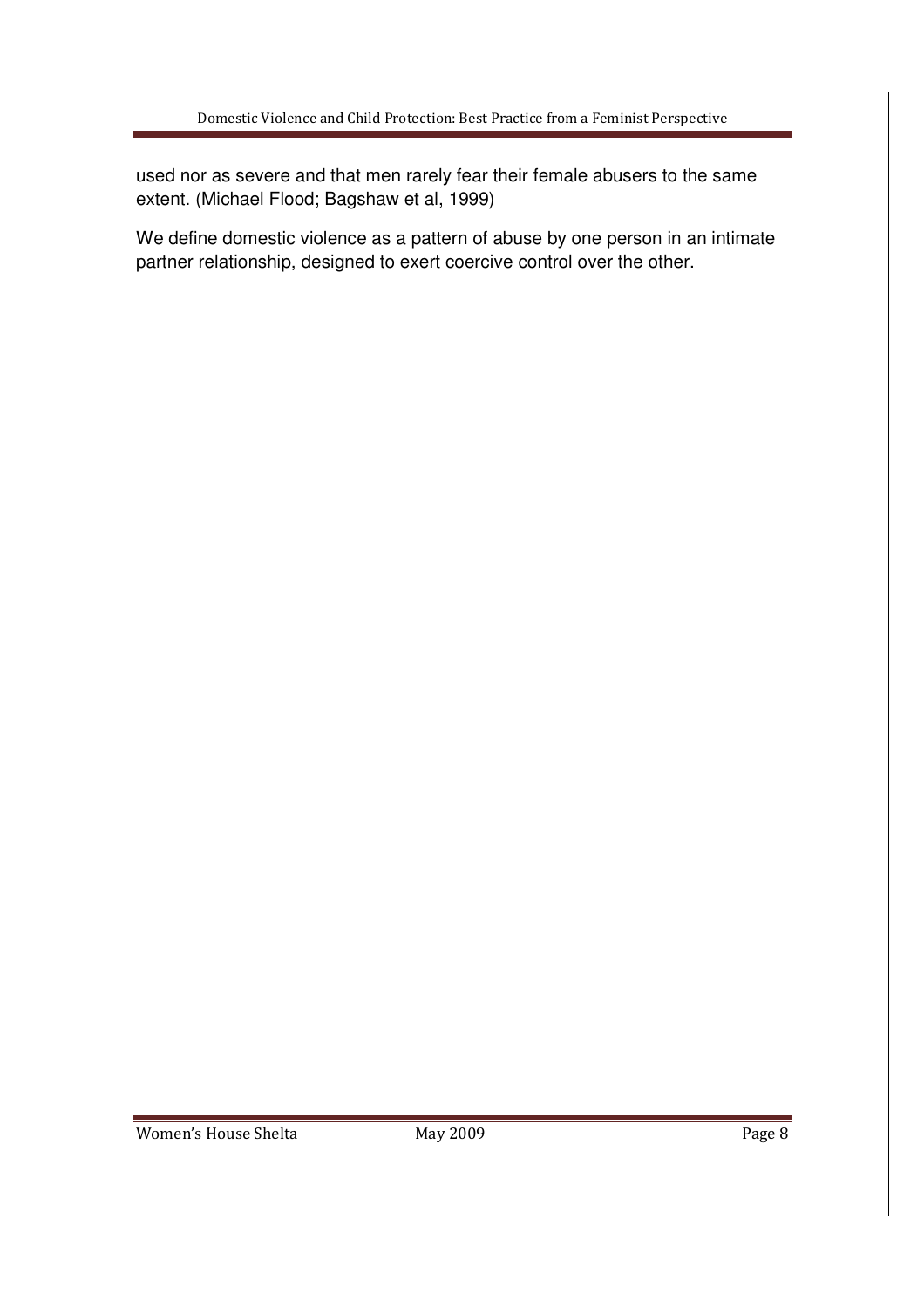used nor as severe and that men rarely fear their female abusers to the same extent. (Michael Flood; Bagshaw et al, 1999)

We define domestic violence as a pattern of abuse by one person in an intimate partner relationship, designed to exert coercive control over the other.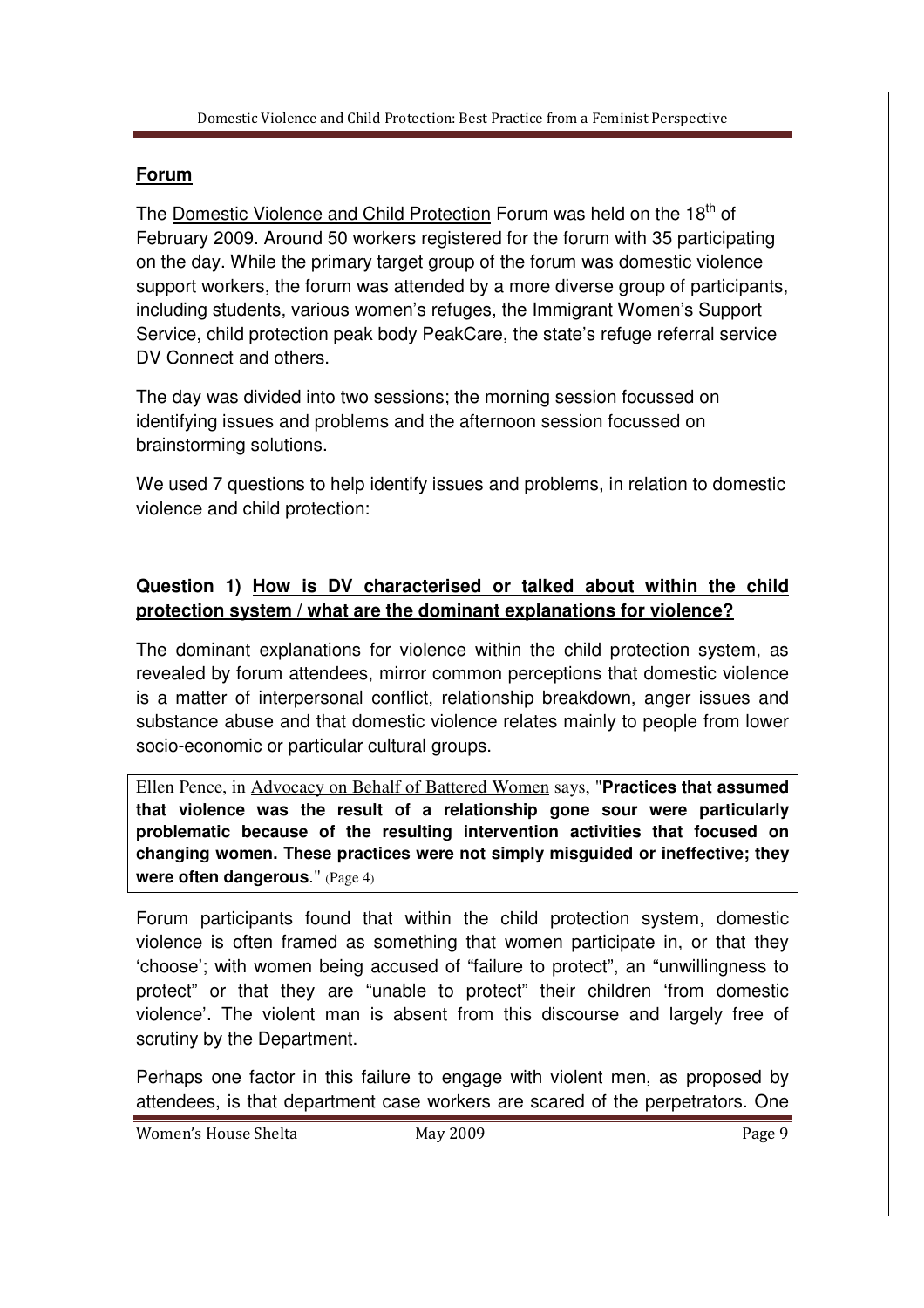# **Forum**

The Domestic Violence and Child Protection Forum was held on the  $18<sup>th</sup>$  of February 2009. Around 50 workers registered for the forum with 35 participating on the day. While the primary target group of the forum was domestic violence support workers, the forum was attended by a more diverse group of participants, including students, various women's refuges, the Immigrant Women's Support Service, child protection peak body PeakCare, the state's refuge referral service DV Connect and others.

The day was divided into two sessions; the morning session focussed on identifying issues and problems and the afternoon session focussed on brainstorming solutions.

We used 7 questions to help identify issues and problems, in relation to domestic violence and child protection:

# **Question 1) How is DV characterised or talked about within the child protection system / what are the dominant explanations for violence?**

The dominant explanations for violence within the child protection system, as revealed by forum attendees, mirror common perceptions that domestic violence is a matter of interpersonal conflict, relationship breakdown, anger issues and substance abuse and that domestic violence relates mainly to people from lower socio-economic or particular cultural groups.

Ellen Pence, in Advocacy on Behalf of Battered Women says, "**Practices that assumed that violence was the result of a relationship gone sour were particularly problematic because of the resulting intervention activities that focused on changing women. These practices were not simply misguided or ineffective; they were often dangerous**." (Page 4)

Forum participants found that within the child protection system, domestic violence is often framed as something that women participate in, or that they 'choose'; with women being accused of "failure to protect", an "unwillingness to protect" or that they are "unable to protect" their children 'from domestic violence'. The violent man is absent from this discourse and largely free of scrutiny by the Department.

Perhaps one factor in this failure to engage with violent men, as proposed by attendees, is that department case workers are scared of the perpetrators. One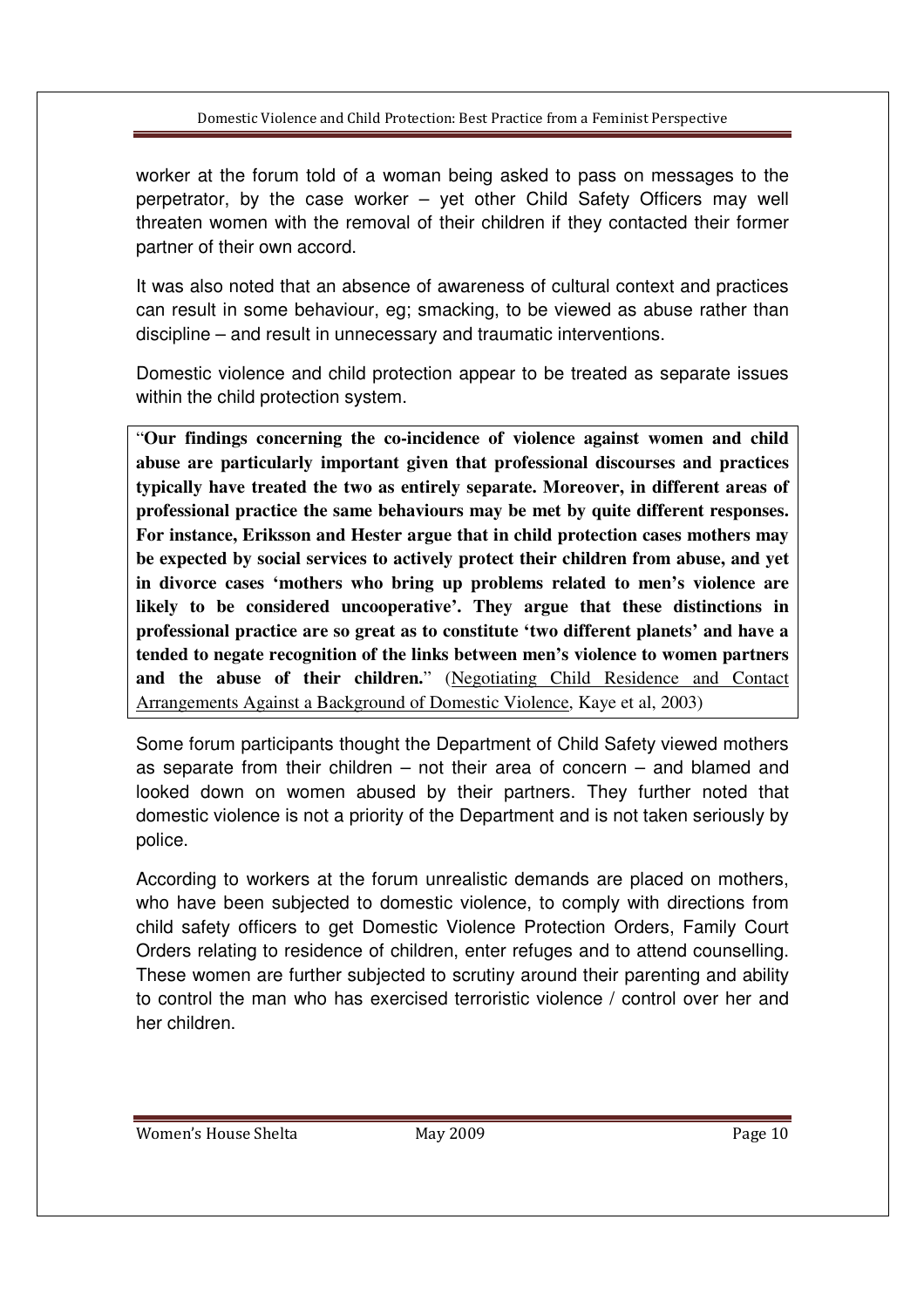worker at the forum told of a woman being asked to pass on messages to the perpetrator, by the case worker – yet other Child Safety Officers may well threaten women with the removal of their children if they contacted their former partner of their own accord.

It was also noted that an absence of awareness of cultural context and practices can result in some behaviour, eg; smacking, to be viewed as abuse rather than discipline – and result in unnecessary and traumatic interventions.

Domestic violence and child protection appear to be treated as separate issues within the child protection system.

"**Our findings concerning the co-incidence of violence against women and child abuse are particularly important given that professional discourses and practices typically have treated the two as entirely separate. Moreover, in different areas of professional practice the same behaviours may be met by quite different responses. For instance, Eriksson and Hester argue that in child protection cases mothers may be expected by social services to actively protect their children from abuse, and yet in divorce cases 'mothers who bring up problems related to men's violence are likely to be considered uncooperative'. They argue that these distinctions in professional practice are so great as to constitute 'two different planets' and have a tended to negate recognition of the links between men's violence to women partners and the abuse of their children.**" (Negotiating Child Residence and Contact Arrangements Against a Background of Domestic Violence, Kaye et al, 2003)

Some forum participants thought the Department of Child Safety viewed mothers as separate from their children – not their area of concern – and blamed and looked down on women abused by their partners. They further noted that domestic violence is not a priority of the Department and is not taken seriously by police.

According to workers at the forum unrealistic demands are placed on mothers, who have been subjected to domestic violence, to comply with directions from child safety officers to get Domestic Violence Protection Orders, Family Court Orders relating to residence of children, enter refuges and to attend counselling. These women are further subjected to scrutiny around their parenting and ability to control the man who has exercised terroristic violence / control over her and her children.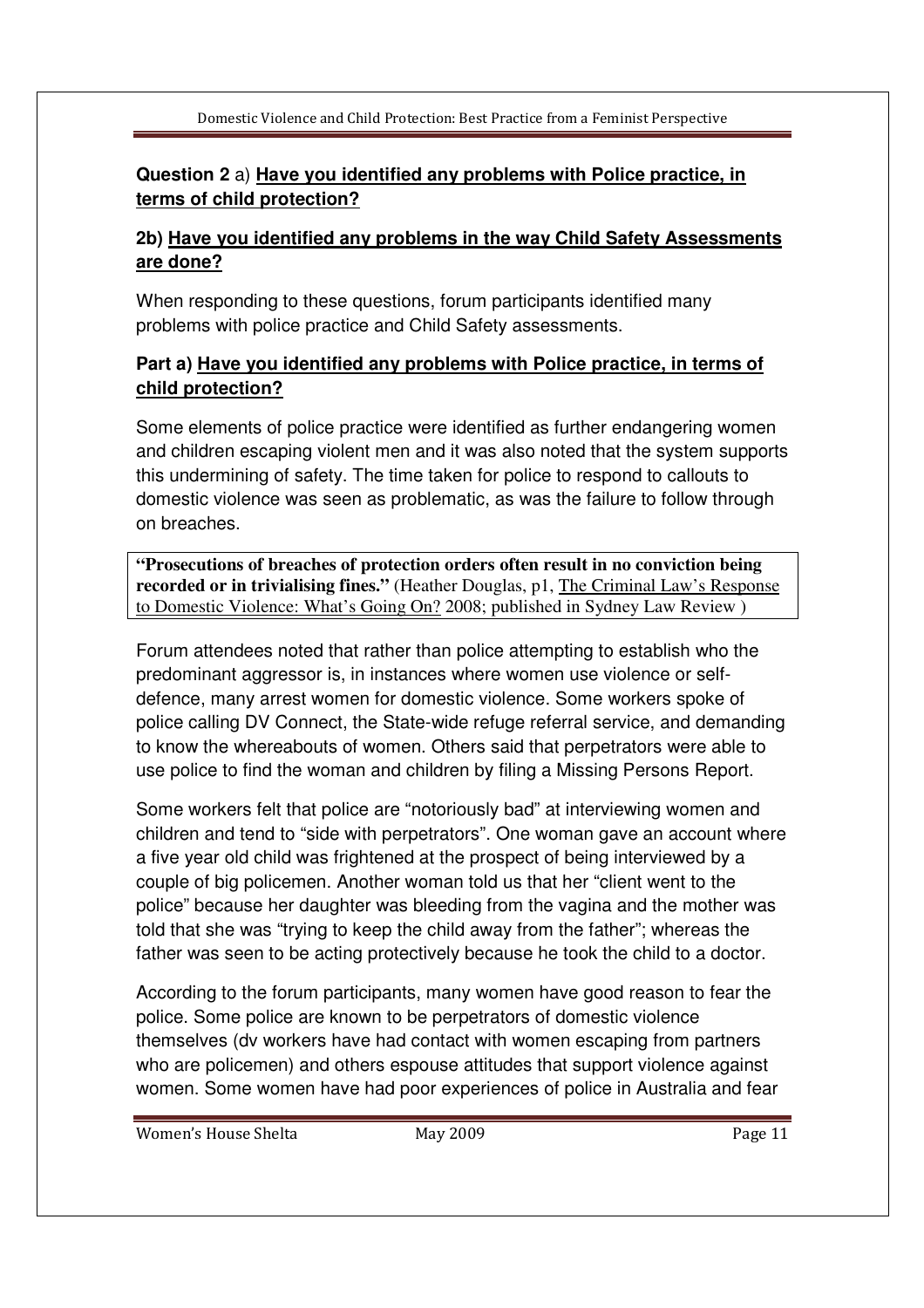# **Question 2** a) **Have you identified any problems with Police practice, in terms of child protection?**

## **2b) Have you identified any problems in the way Child Safety Assessments are done?**

When responding to these questions, forum participants identified many problems with police practice and Child Safety assessments.

# **Part a) Have you identified any problems with Police practice, in terms of child protection?**

Some elements of police practice were identified as further endangering women and children escaping violent men and it was also noted that the system supports this undermining of safety. The time taken for police to respond to callouts to domestic violence was seen as problematic, as was the failure to follow through on breaches.

**"Prosecutions of breaches of protection orders often result in no conviction being recorded or in trivialising fines."** (Heather Douglas, p1, The Criminal Law's Response to Domestic Violence: What's Going On? 2008; published in Sydney Law Review )

Forum attendees noted that rather than police attempting to establish who the predominant aggressor is, in instances where women use violence or selfdefence, many arrest women for domestic violence. Some workers spoke of police calling DV Connect, the State-wide refuge referral service, and demanding to know the whereabouts of women. Others said that perpetrators were able to use police to find the woman and children by filing a Missing Persons Report.

Some workers felt that police are "notoriously bad" at interviewing women and children and tend to "side with perpetrators". One woman gave an account where a five year old child was frightened at the prospect of being interviewed by a couple of big policemen. Another woman told us that her "client went to the police" because her daughter was bleeding from the vagina and the mother was told that she was "trying to keep the child away from the father"; whereas the father was seen to be acting protectively because he took the child to a doctor.

According to the forum participants, many women have good reason to fear the police. Some police are known to be perpetrators of domestic violence themselves (dv workers have had contact with women escaping from partners who are policemen) and others espouse attitudes that support violence against women. Some women have had poor experiences of police in Australia and fear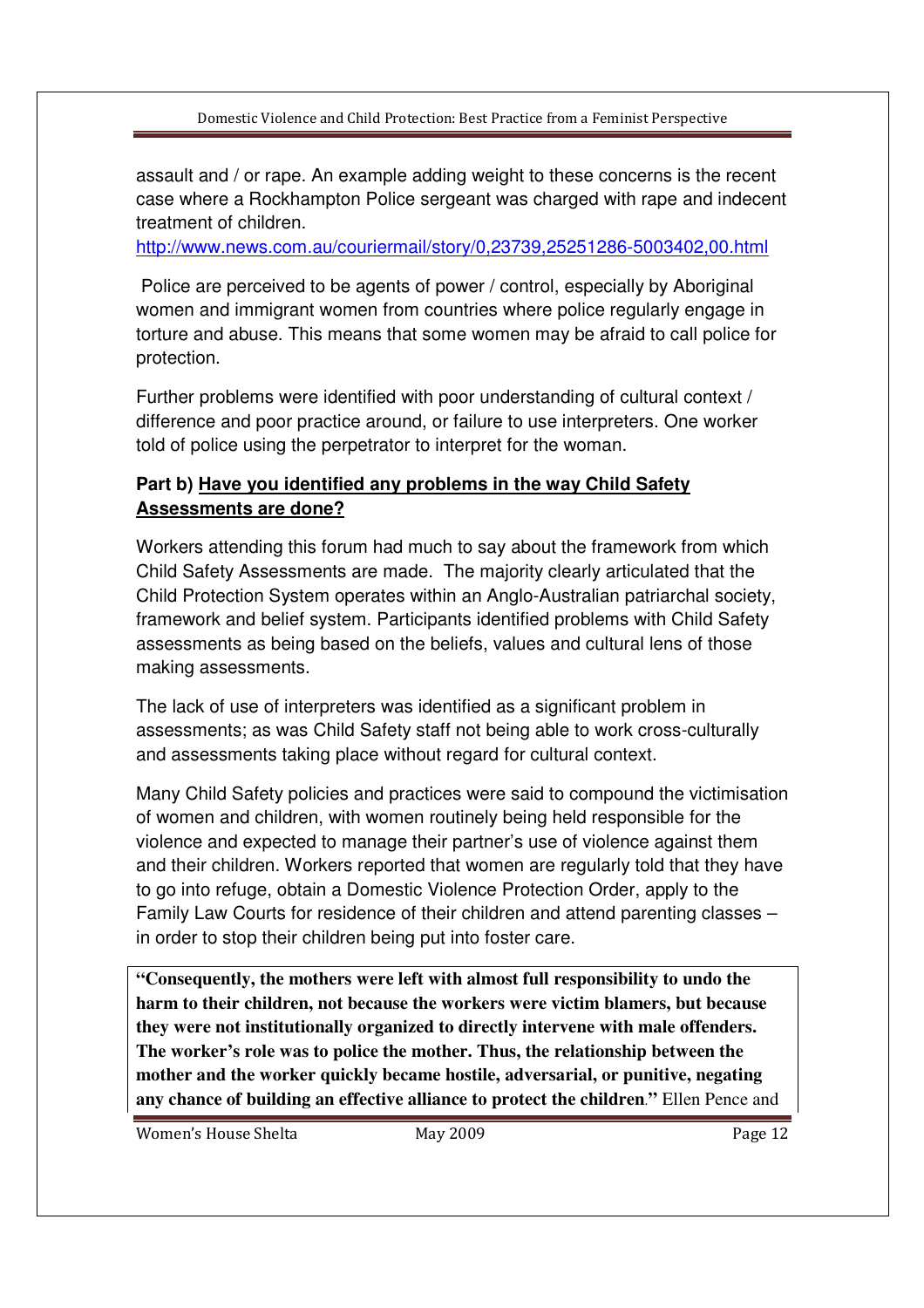assault and / or rape. An example adding weight to these concerns is the recent case where a Rockhampton Police sergeant was charged with rape and indecent treatment of children.

http://www.news.com.au/couriermail/story/0,23739,25251286-5003402,00.html

 Police are perceived to be agents of power / control, especially by Aboriginal women and immigrant women from countries where police regularly engage in torture and abuse. This means that some women may be afraid to call police for protection.

Further problems were identified with poor understanding of cultural context / difference and poor practice around, or failure to use interpreters. One worker told of police using the perpetrator to interpret for the woman.

# **Part b) Have you identified any problems in the way Child Safety Assessments are done?**

Workers attending this forum had much to say about the framework from which Child Safety Assessments are made. The majority clearly articulated that the Child Protection System operates within an Anglo-Australian patriarchal society, framework and belief system. Participants identified problems with Child Safety assessments as being based on the beliefs, values and cultural lens of those making assessments.

The lack of use of interpreters was identified as a significant problem in assessments; as was Child Safety staff not being able to work cross-culturally and assessments taking place without regard for cultural context.

Many Child Safety policies and practices were said to compound the victimisation of women and children, with women routinely being held responsible for the violence and expected to manage their partner's use of violence against them and their children. Workers reported that women are regularly told that they have to go into refuge, obtain a Domestic Violence Protection Order, apply to the Family Law Courts for residence of their children and attend parenting classes – in order to stop their children being put into foster care.

**"Consequently, the mothers were left with almost full responsibility to undo the harm to their children, not because the workers were victim blamers, but because they were not institutionally organized to directly intervene with male offenders. The worker's role was to police the mother. Thus, the relationship between the mother and the worker quickly became hostile, adversarial, or punitive, negating any chance of building an effective alliance to protect the children**.**"** Ellen Pence and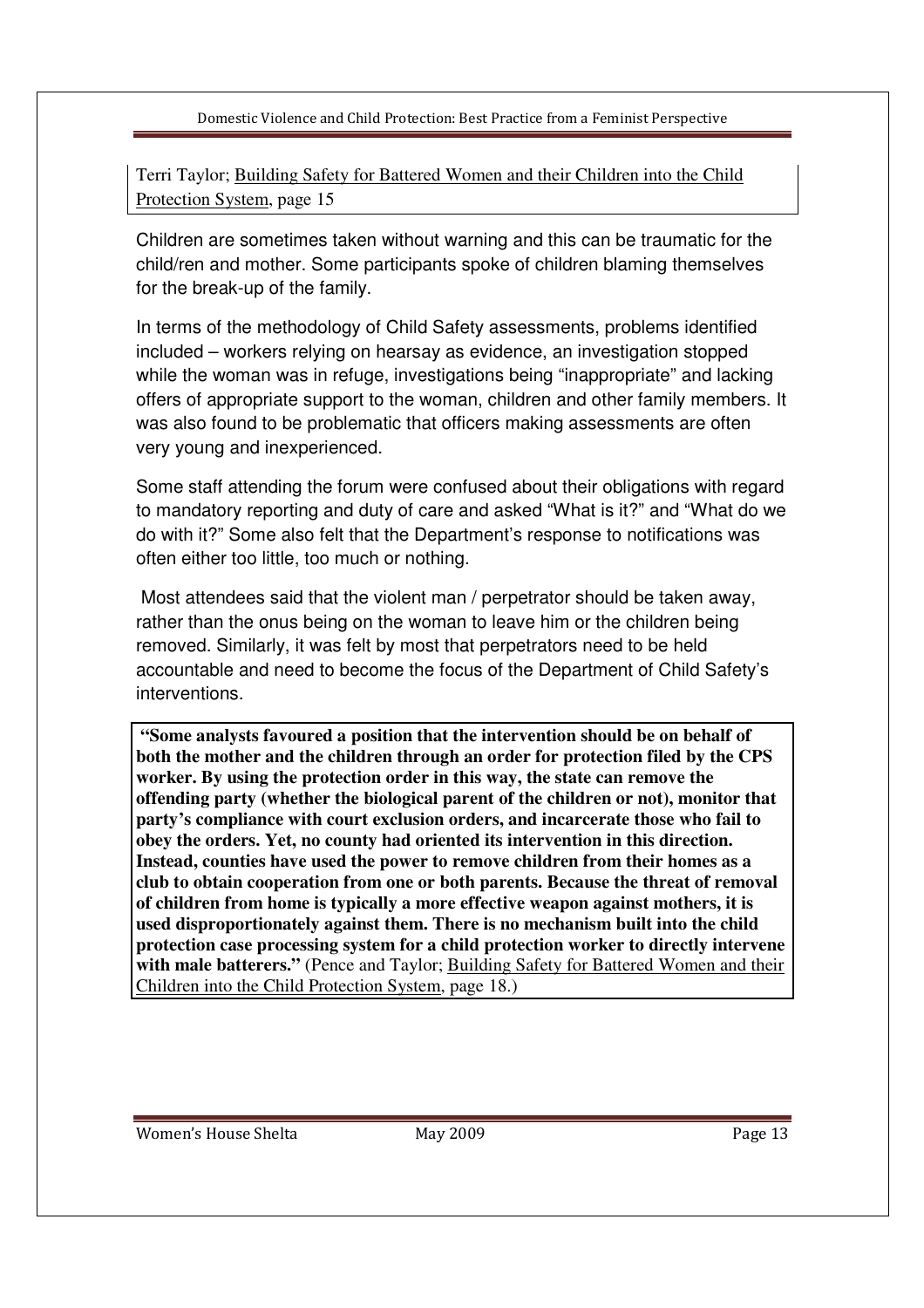Terri Taylor; Building Safety for Battered Women and their Children into the Child Protection System, page 15

Children are sometimes taken without warning and this can be traumatic for the child/ren and mother. Some participants spoke of children blaming themselves for the break-up of the family.

In terms of the methodology of Child Safety assessments, problems identified included – workers relying on hearsay as evidence, an investigation stopped while the woman was in refuge, investigations being "inappropriate" and lacking offers of appropriate support to the woman, children and other family members. It was also found to be problematic that officers making assessments are often very young and inexperienced.

Some staff attending the forum were confused about their obligations with regard to mandatory reporting and duty of care and asked "What is it?" and "What do we do with it?" Some also felt that the Department's response to notifications was often either too little, too much or nothing.

 Most attendees said that the violent man / perpetrator should be taken away, rather than the onus being on the woman to leave him or the children being removed. Similarly, it was felt by most that perpetrators need to be held accountable and need to become the focus of the Department of Child Safety's interventions.

**"Some analysts favoured a position that the intervention should be on behalf of both the mother and the children through an order for protection filed by the CPS worker. By using the protection order in this way, the state can remove the offending party (whether the biological parent of the children or not), monitor that party's compliance with court exclusion orders, and incarcerate those who fail to obey the orders. Yet, no county had oriented its intervention in this direction. Instead, counties have used the power to remove children from their homes as a club to obtain cooperation from one or both parents. Because the threat of removal of children from home is typically a more effective weapon against mothers, it is used disproportionately against them. There is no mechanism built into the child protection case processing system for a child protection worker to directly intervene with male batterers."** (Pence and Taylor; Building Safety for Battered Women and their Children into the Child Protection System, page 18.)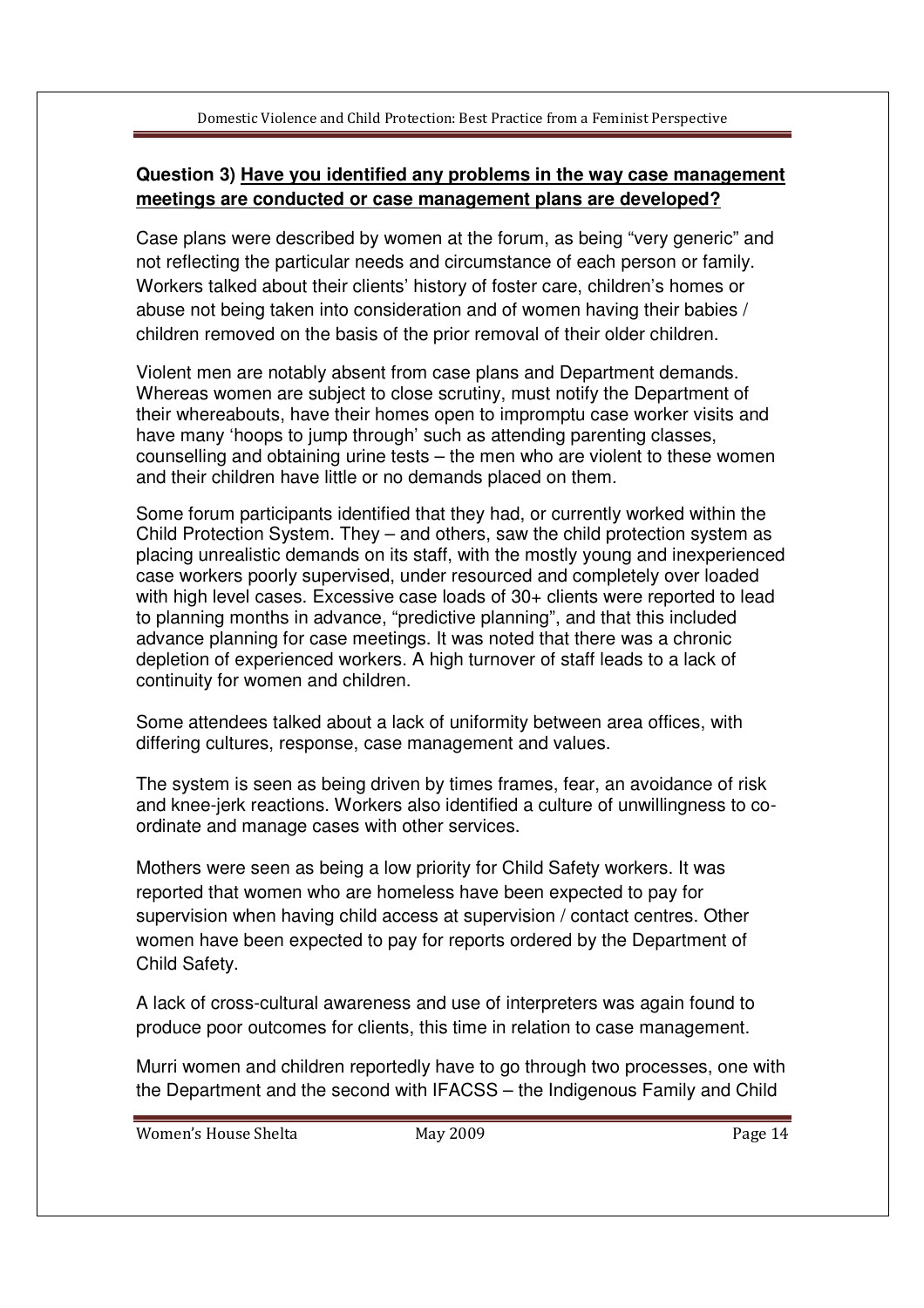# **Question 3) Have you identified any problems in the way case management meetings are conducted or case management plans are developed?**

Case plans were described by women at the forum, as being "very generic" and not reflecting the particular needs and circumstance of each person or family. Workers talked about their clients' history of foster care, children's homes or abuse not being taken into consideration and of women having their babies / children removed on the basis of the prior removal of their older children.

Violent men are notably absent from case plans and Department demands. Whereas women are subject to close scrutiny, must notify the Department of their whereabouts, have their homes open to impromptu case worker visits and have many 'hoops to jump through' such as attending parenting classes, counselling and obtaining urine tests – the men who are violent to these women and their children have little or no demands placed on them.

Some forum participants identified that they had, or currently worked within the Child Protection System. They – and others, saw the child protection system as placing unrealistic demands on its staff, with the mostly young and inexperienced case workers poorly supervised, under resourced and completely over loaded with high level cases. Excessive case loads of 30+ clients were reported to lead to planning months in advance, "predictive planning", and that this included advance planning for case meetings. It was noted that there was a chronic depletion of experienced workers. A high turnover of staff leads to a lack of continuity for women and children.

Some attendees talked about a lack of uniformity between area offices, with differing cultures, response, case management and values.

The system is seen as being driven by times frames, fear, an avoidance of risk and knee-jerk reactions. Workers also identified a culture of unwillingness to coordinate and manage cases with other services.

Mothers were seen as being a low priority for Child Safety workers. It was reported that women who are homeless have been expected to pay for supervision when having child access at supervision / contact centres. Other women have been expected to pay for reports ordered by the Department of Child Safety.

A lack of cross-cultural awareness and use of interpreters was again found to produce poor outcomes for clients, this time in relation to case management.

Murri women and children reportedly have to go through two processes, one with the Department and the second with IFACSS – the Indigenous Family and Child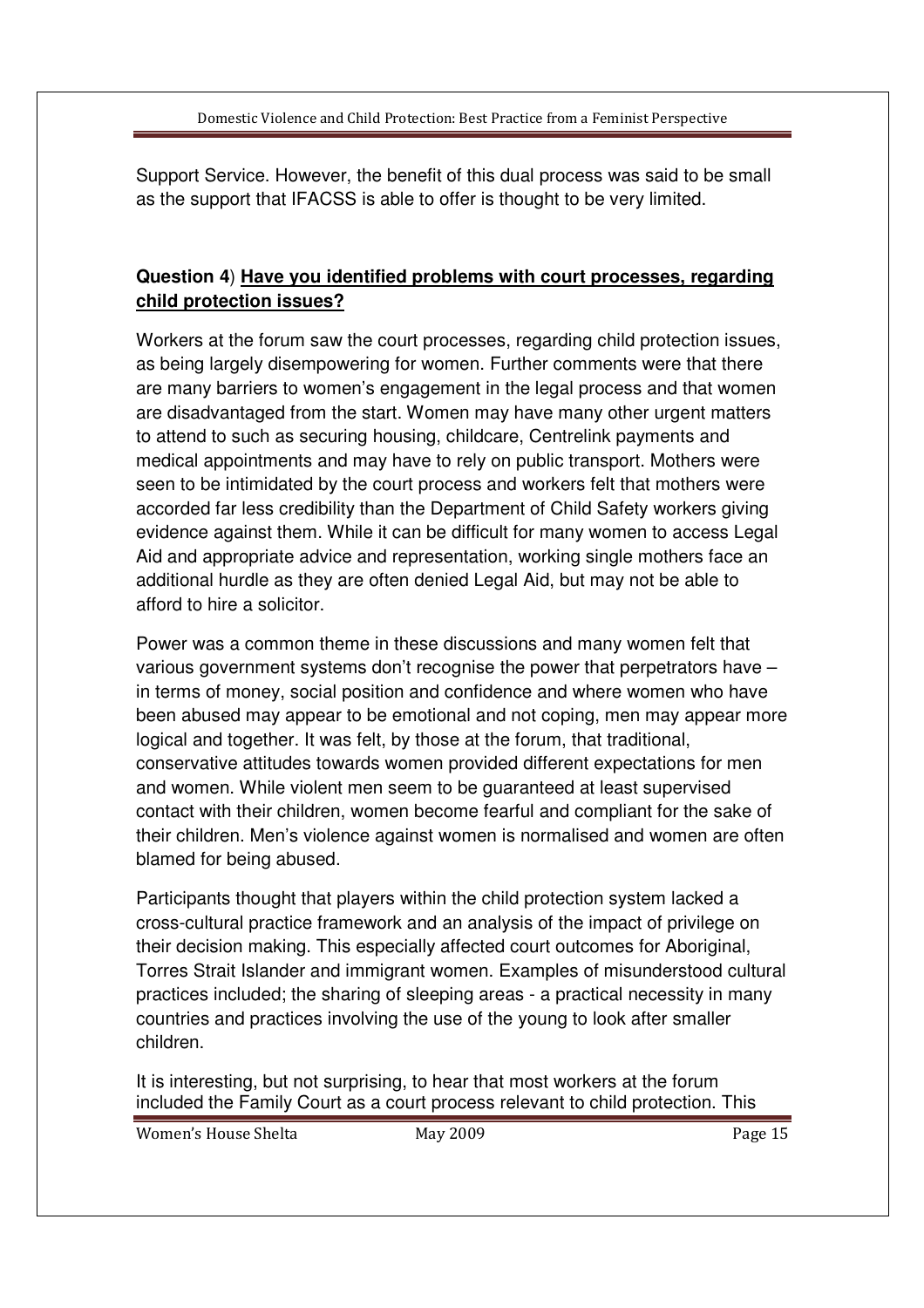Support Service. However, the benefit of this dual process was said to be small as the support that IFACSS is able to offer is thought to be very limited.

# **Question 4**) **Have you identified problems with court processes, regarding child protection issues?**

Workers at the forum saw the court processes, regarding child protection issues, as being largely disempowering for women. Further comments were that there are many barriers to women's engagement in the legal process and that women are disadvantaged from the start. Women may have many other urgent matters to attend to such as securing housing, childcare, Centrelink payments and medical appointments and may have to rely on public transport. Mothers were seen to be intimidated by the court process and workers felt that mothers were accorded far less credibility than the Department of Child Safety workers giving evidence against them. While it can be difficult for many women to access Legal Aid and appropriate advice and representation, working single mothers face an additional hurdle as they are often denied Legal Aid, but may not be able to afford to hire a solicitor.

Power was a common theme in these discussions and many women felt that various government systems don't recognise the power that perpetrators have – in terms of money, social position and confidence and where women who have been abused may appear to be emotional and not coping, men may appear more logical and together. It was felt, by those at the forum, that traditional, conservative attitudes towards women provided different expectations for men and women. While violent men seem to be guaranteed at least supervised contact with their children, women become fearful and compliant for the sake of their children. Men's violence against women is normalised and women are often blamed for being abused.

Participants thought that players within the child protection system lacked a cross-cultural practice framework and an analysis of the impact of privilege on their decision making. This especially affected court outcomes for Aboriginal, Torres Strait Islander and immigrant women. Examples of misunderstood cultural practices included; the sharing of sleeping areas - a practical necessity in many countries and practices involving the use of the young to look after smaller children.

It is interesting, but not surprising, to hear that most workers at the forum included the Family Court as a court process relevant to child protection. This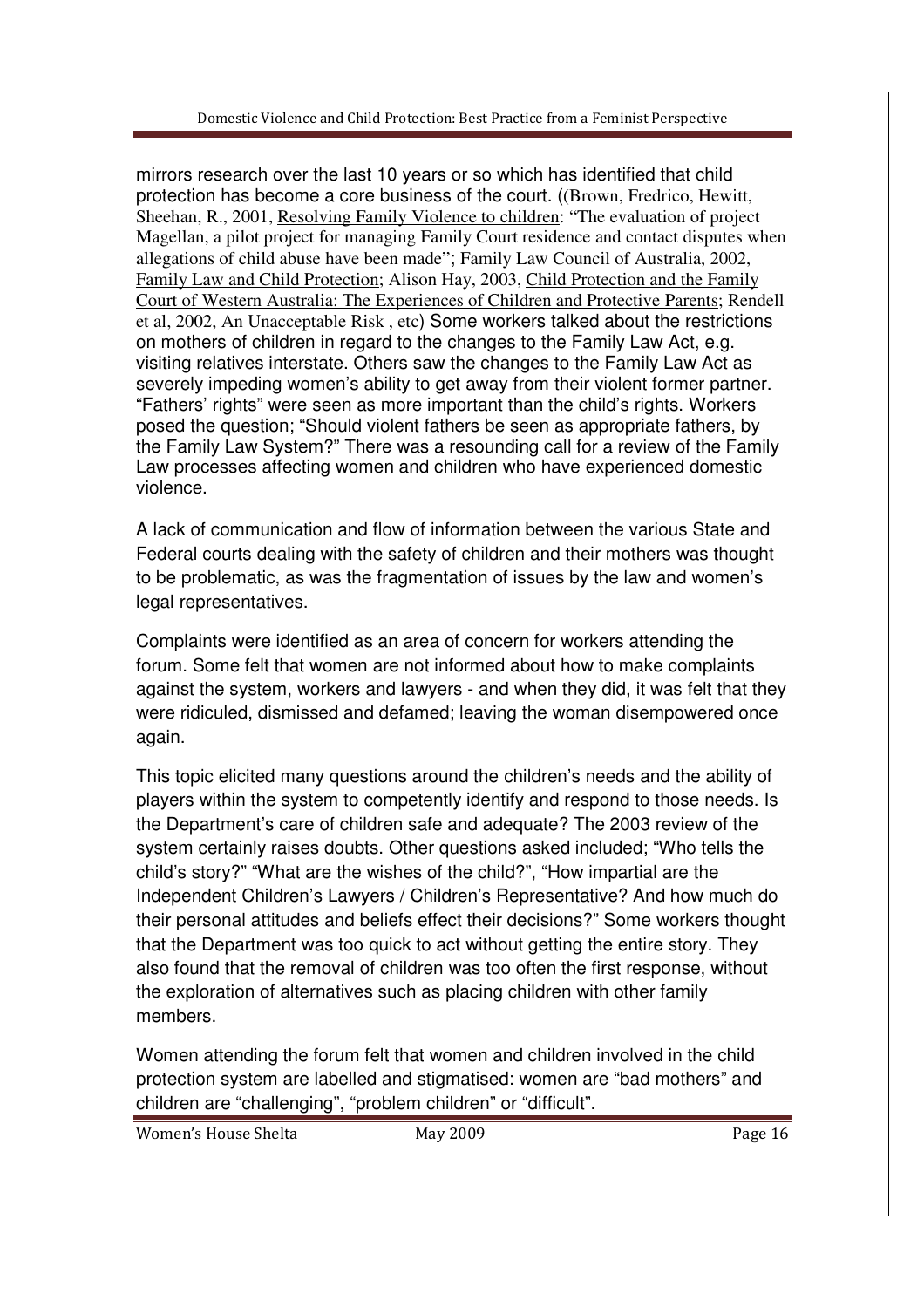mirrors research over the last 10 years or so which has identified that child protection has become a core business of the court. ((Brown, Fredrico, Hewitt, Sheehan, R., 2001, Resolving Family Violence to children: "The evaluation of project Magellan, a pilot project for managing Family Court residence and contact disputes when allegations of child abuse have been made"; Family Law Council of Australia, 2002, Family Law and Child Protection; Alison Hay, 2003, Child Protection and the Family Court of Western Australia: The Experiences of Children and Protective Parents; Rendell et al, 2002, An Unacceptable Risk , etc) Some workers talked about the restrictions on mothers of children in regard to the changes to the Family Law Act, e.g. visiting relatives interstate. Others saw the changes to the Family Law Act as severely impeding women's ability to get away from their violent former partner. "Fathers' rights" were seen as more important than the child's rights. Workers posed the question; "Should violent fathers be seen as appropriate fathers, by the Family Law System?" There was a resounding call for a review of the Family Law processes affecting women and children who have experienced domestic violence.

A lack of communication and flow of information between the various State and Federal courts dealing with the safety of children and their mothers was thought to be problematic, as was the fragmentation of issues by the law and women's legal representatives.

Complaints were identified as an area of concern for workers attending the forum. Some felt that women are not informed about how to make complaints against the system, workers and lawyers - and when they did, it was felt that they were ridiculed, dismissed and defamed; leaving the woman disempowered once again.

This topic elicited many questions around the children's needs and the ability of players within the system to competently identify and respond to those needs. Is the Department's care of children safe and adequate? The 2003 review of the system certainly raises doubts. Other questions asked included; "Who tells the child's story?" "What are the wishes of the child?", "How impartial are the Independent Children's Lawyers / Children's Representative? And how much do their personal attitudes and beliefs effect their decisions?" Some workers thought that the Department was too quick to act without getting the entire story. They also found that the removal of children was too often the first response, without the exploration of alternatives such as placing children with other family members.

Women attending the forum felt that women and children involved in the child protection system are labelled and stigmatised: women are "bad mothers" and children are "challenging", "problem children" or "difficult".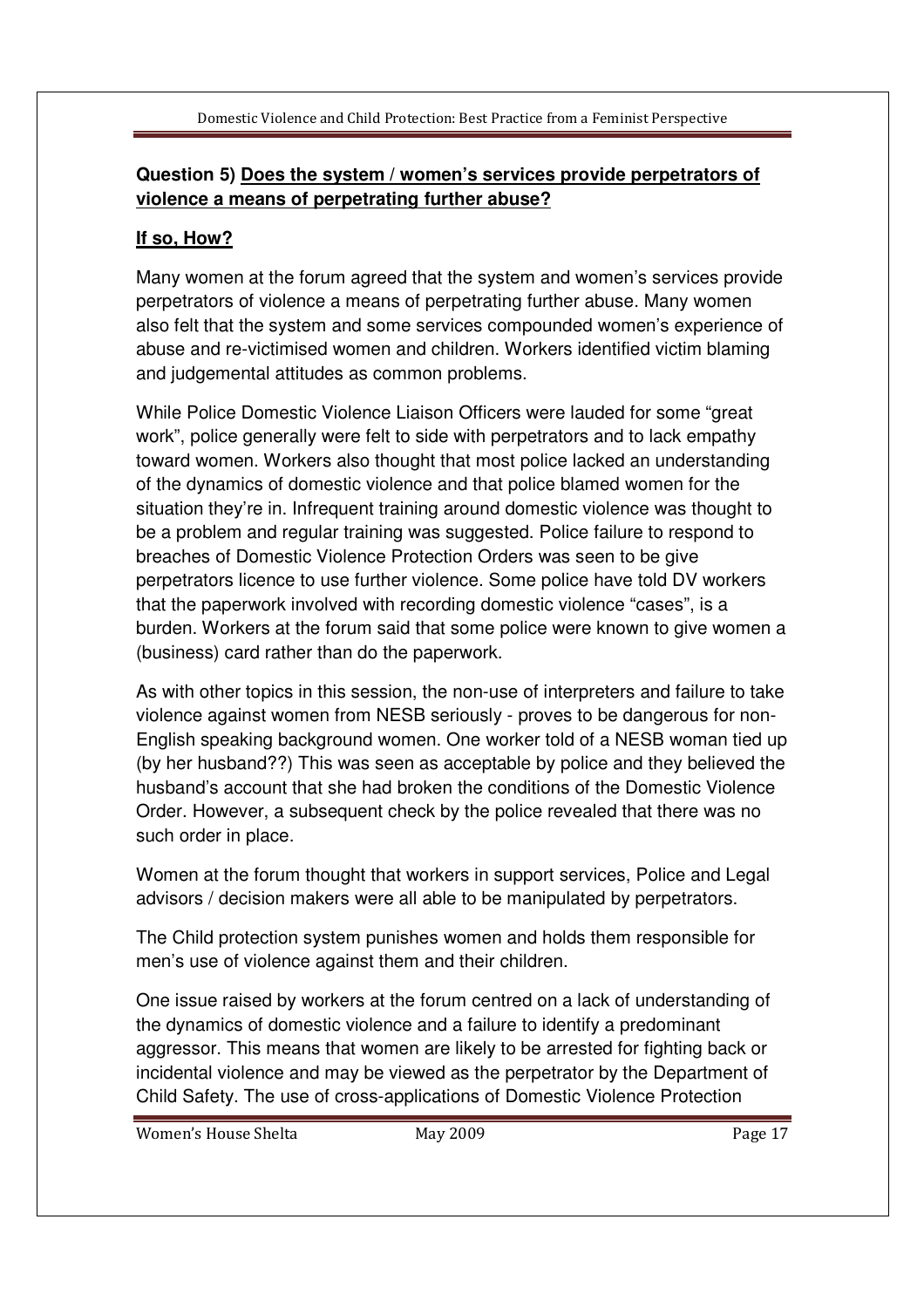# **Question 5) Does the system / women's services provide perpetrators of violence a means of perpetrating further abuse?**

# **If so, How?**

Many women at the forum agreed that the system and women's services provide perpetrators of violence a means of perpetrating further abuse. Many women also felt that the system and some services compounded women's experience of abuse and re-victimised women and children. Workers identified victim blaming and judgemental attitudes as common problems.

While Police Domestic Violence Liaison Officers were lauded for some "great work", police generally were felt to side with perpetrators and to lack empathy toward women. Workers also thought that most police lacked an understanding of the dynamics of domestic violence and that police blamed women for the situation they're in. Infrequent training around domestic violence was thought to be a problem and regular training was suggested. Police failure to respond to breaches of Domestic Violence Protection Orders was seen to be give perpetrators licence to use further violence. Some police have told DV workers that the paperwork involved with recording domestic violence "cases", is a burden. Workers at the forum said that some police were known to give women a (business) card rather than do the paperwork.

As with other topics in this session, the non-use of interpreters and failure to take violence against women from NESB seriously - proves to be dangerous for non-English speaking background women. One worker told of a NESB woman tied up (by her husband??) This was seen as acceptable by police and they believed the husband's account that she had broken the conditions of the Domestic Violence Order. However, a subsequent check by the police revealed that there was no such order in place.

Women at the forum thought that workers in support services, Police and Legal advisors / decision makers were all able to be manipulated by perpetrators.

The Child protection system punishes women and holds them responsible for men's use of violence against them and their children.

One issue raised by workers at the forum centred on a lack of understanding of the dynamics of domestic violence and a failure to identify a predominant aggressor. This means that women are likely to be arrested for fighting back or incidental violence and may be viewed as the perpetrator by the Department of Child Safety. The use of cross-applications of Domestic Violence Protection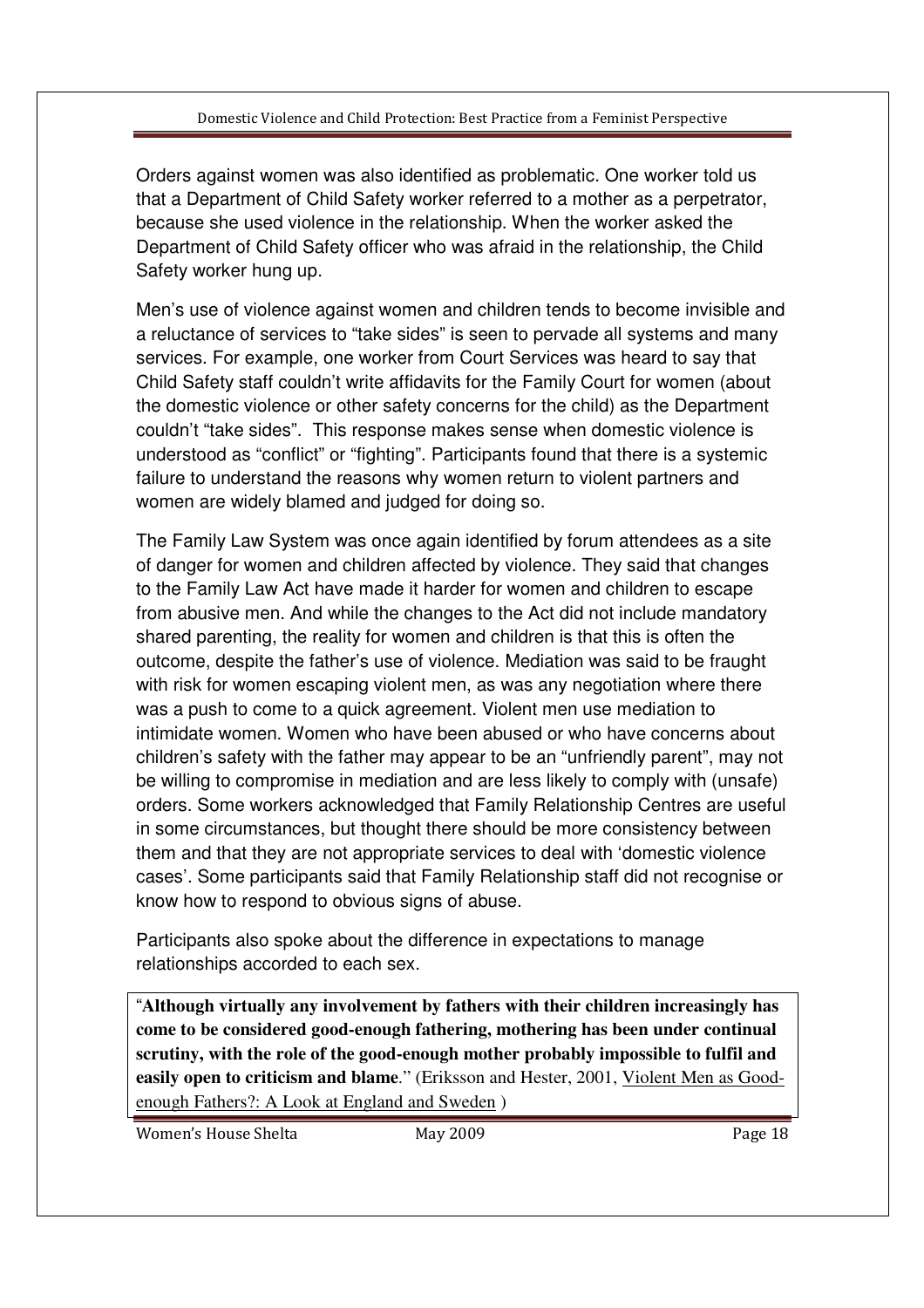Orders against women was also identified as problematic. One worker told us that a Department of Child Safety worker referred to a mother as a perpetrator, because she used violence in the relationship. When the worker asked the Department of Child Safety officer who was afraid in the relationship, the Child Safety worker hung up.

Men's use of violence against women and children tends to become invisible and a reluctance of services to "take sides" is seen to pervade all systems and many services. For example, one worker from Court Services was heard to say that Child Safety staff couldn't write affidavits for the Family Court for women (about the domestic violence or other safety concerns for the child) as the Department couldn't "take sides". This response makes sense when domestic violence is understood as "conflict" or "fighting". Participants found that there is a systemic failure to understand the reasons why women return to violent partners and women are widely blamed and judged for doing so.

The Family Law System was once again identified by forum attendees as a site of danger for women and children affected by violence. They said that changes to the Family Law Act have made it harder for women and children to escape from abusive men. And while the changes to the Act did not include mandatory shared parenting, the reality for women and children is that this is often the outcome, despite the father's use of violence. Mediation was said to be fraught with risk for women escaping violent men, as was any negotiation where there was a push to come to a quick agreement. Violent men use mediation to intimidate women. Women who have been abused or who have concerns about children's safety with the father may appear to be an "unfriendly parent", may not be willing to compromise in mediation and are less likely to comply with (unsafe) orders. Some workers acknowledged that Family Relationship Centres are useful in some circumstances, but thought there should be more consistency between them and that they are not appropriate services to deal with 'domestic violence cases'. Some participants said that Family Relationship staff did not recognise or know how to respond to obvious signs of abuse.

Participants also spoke about the difference in expectations to manage relationships accorded to each sex.

"**Although virtually any involvement by fathers with their children increasingly has come to be considered good-enough fathering, mothering has been under continual scrutiny, with the role of the good-enough mother probably impossible to fulfil and easily open to criticism and blame**." (Eriksson and Hester, 2001, Violent Men as Goodenough Fathers?: A Look at England and Sweden )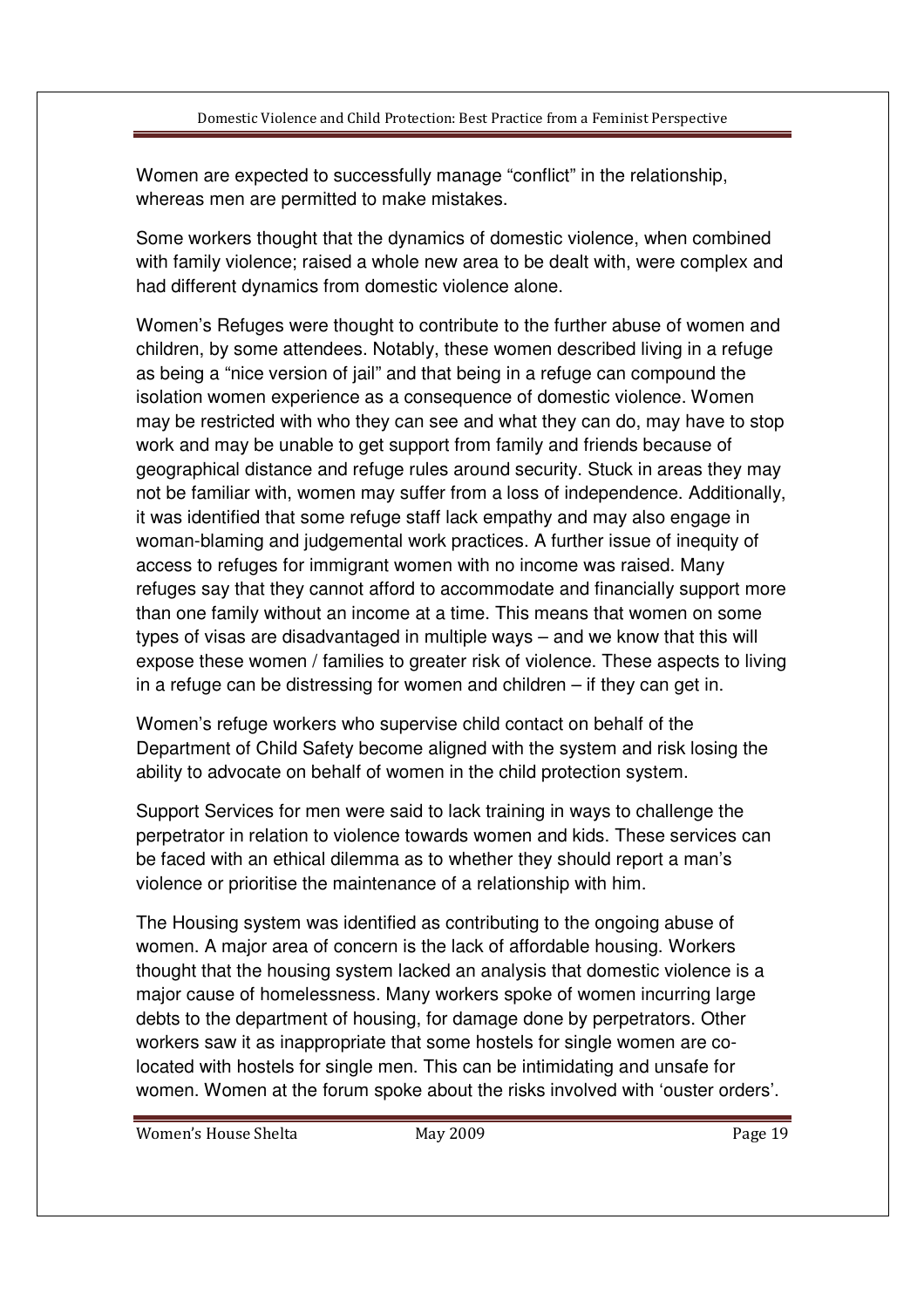Women are expected to successfully manage "conflict" in the relationship, whereas men are permitted to make mistakes.

Some workers thought that the dynamics of domestic violence, when combined with family violence; raised a whole new area to be dealt with, were complex and had different dynamics from domestic violence alone.

Women's Refuges were thought to contribute to the further abuse of women and children, by some attendees. Notably, these women described living in a refuge as being a "nice version of jail" and that being in a refuge can compound the isolation women experience as a consequence of domestic violence. Women may be restricted with who they can see and what they can do, may have to stop work and may be unable to get support from family and friends because of geographical distance and refuge rules around security. Stuck in areas they may not be familiar with, women may suffer from a loss of independence. Additionally, it was identified that some refuge staff lack empathy and may also engage in woman-blaming and judgemental work practices. A further issue of inequity of access to refuges for immigrant women with no income was raised. Many refuges say that they cannot afford to accommodate and financially support more than one family without an income at a time. This means that women on some types of visas are disadvantaged in multiple ways – and we know that this will expose these women / families to greater risk of violence. These aspects to living in a refuge can be distressing for women and children – if they can get in.

Women's refuge workers who supervise child contact on behalf of the Department of Child Safety become aligned with the system and risk losing the ability to advocate on behalf of women in the child protection system.

Support Services for men were said to lack training in ways to challenge the perpetrator in relation to violence towards women and kids. These services can be faced with an ethical dilemma as to whether they should report a man's violence or prioritise the maintenance of a relationship with him.

The Housing system was identified as contributing to the ongoing abuse of women. A major area of concern is the lack of affordable housing. Workers thought that the housing system lacked an analysis that domestic violence is a major cause of homelessness. Many workers spoke of women incurring large debts to the department of housing, for damage done by perpetrators. Other workers saw it as inappropriate that some hostels for single women are colocated with hostels for single men. This can be intimidating and unsafe for women. Women at the forum spoke about the risks involved with 'ouster orders'.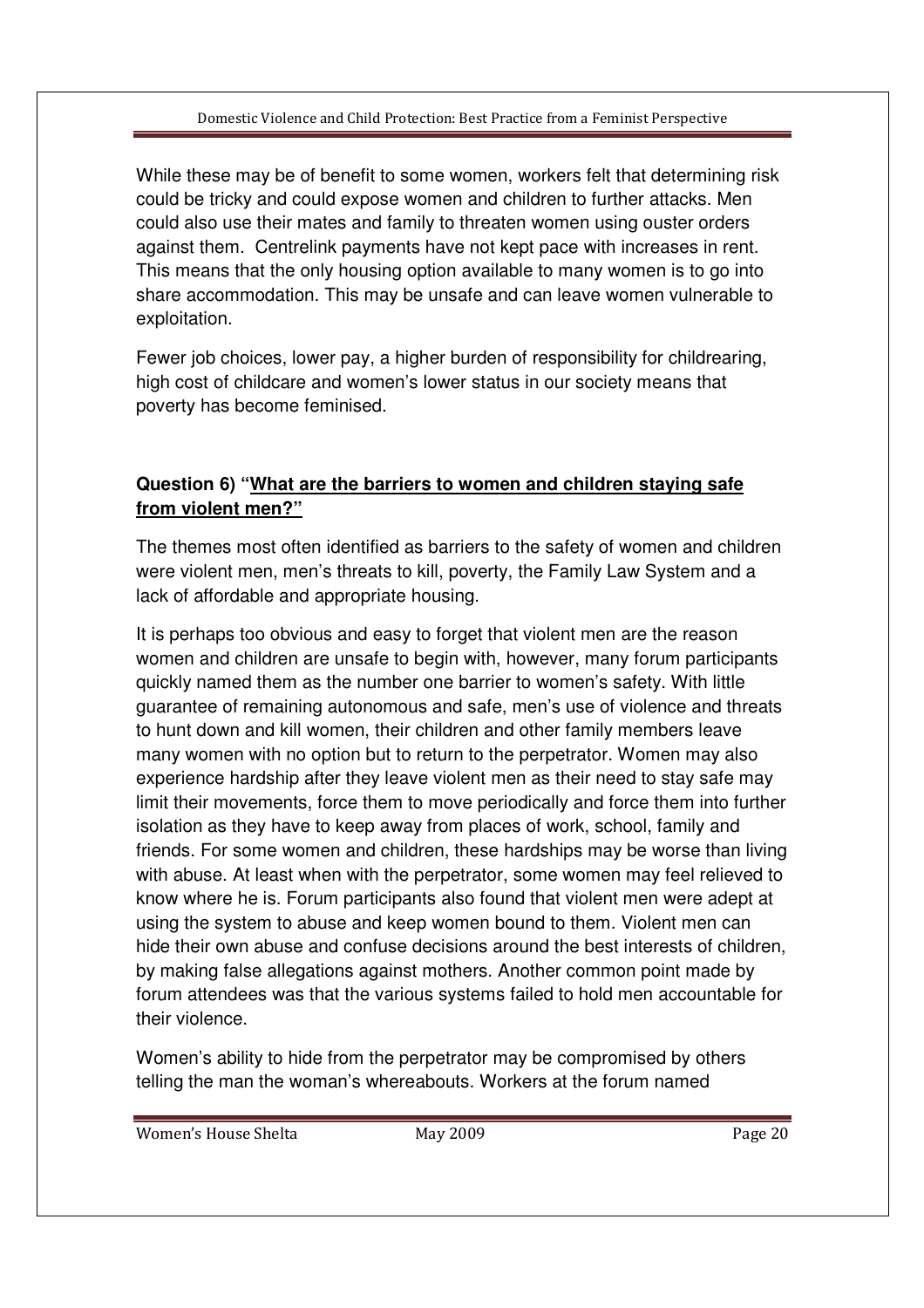While these may be of benefit to some women, workers felt that determining risk could be tricky and could expose women and children to further attacks. Men could also use their mates and family to threaten women using ouster orders against them. Centrelink payments have not kept pace with increases in rent. This means that the only housing option available to many women is to go into share accommodation. This may be unsafe and can leave women vulnerable to exploitation.

Fewer job choices, lower pay, a higher burden of responsibility for childrearing, high cost of childcare and women's lower status in our society means that poverty has become feminised.

# **Question 6) "What are the barriers to women and children staying safe from violent men?"**

The themes most often identified as barriers to the safety of women and children were violent men, men's threats to kill, poverty, the Family Law System and a lack of affordable and appropriate housing.

It is perhaps too obvious and easy to forget that violent men are the reason women and children are unsafe to begin with, however, many forum participants quickly named them as the number one barrier to women's safety. With little guarantee of remaining autonomous and safe, men's use of violence and threats to hunt down and kill women, their children and other family members leave many women with no option but to return to the perpetrator. Women may also experience hardship after they leave violent men as their need to stay safe may limit their movements, force them to move periodically and force them into further isolation as they have to keep away from places of work, school, family and friends. For some women and children, these hardships may be worse than living with abuse. At least when with the perpetrator, some women may feel relieved to know where he is. Forum participants also found that violent men were adept at using the system to abuse and keep women bound to them. Violent men can hide their own abuse and confuse decisions around the best interests of children, by making false allegations against mothers. Another common point made by forum attendees was that the various systems failed to hold men accountable for their violence.

Women's ability to hide from the perpetrator may be compromised by others telling the man the woman's whereabouts. Workers at the forum named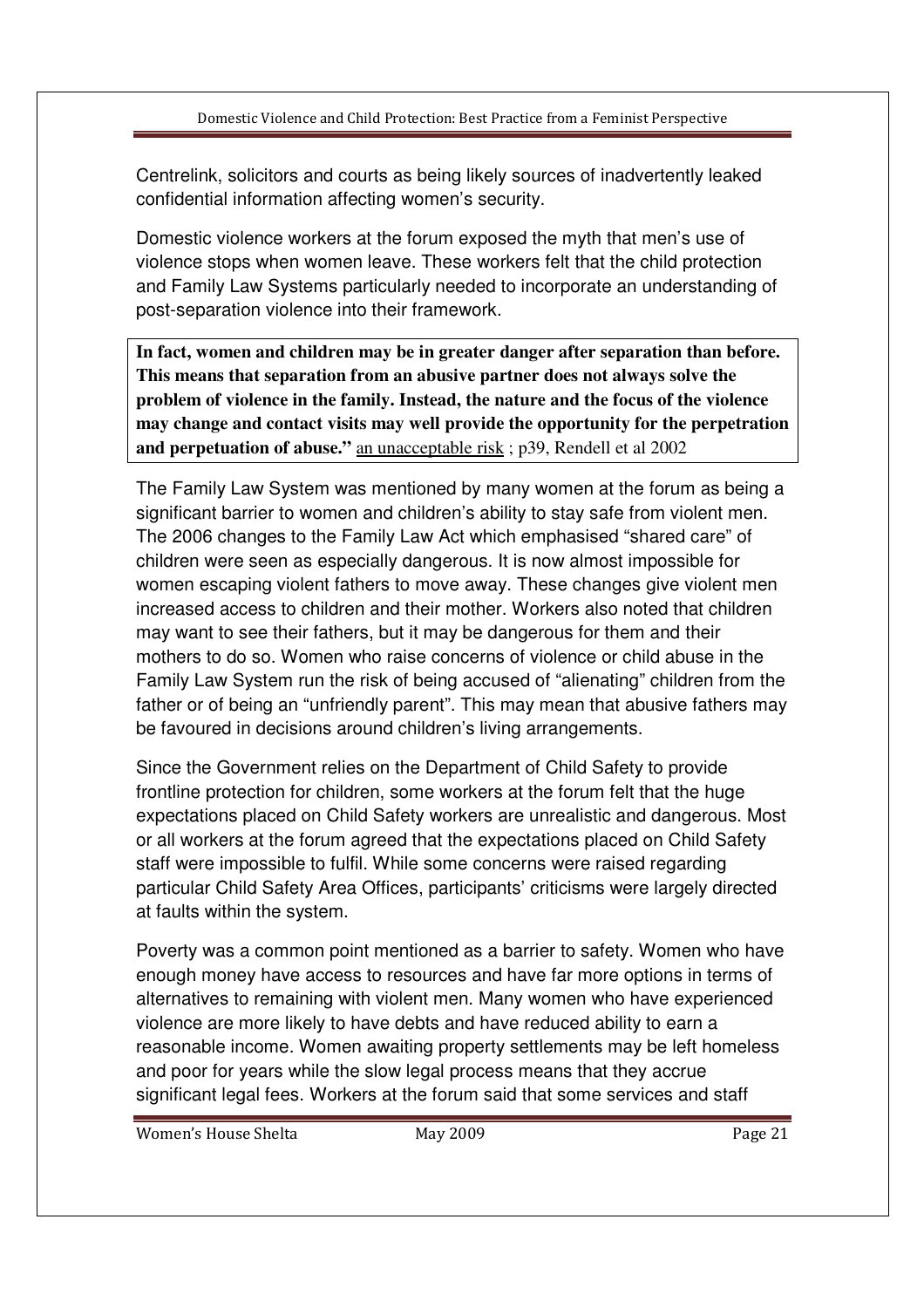Centrelink, solicitors and courts as being likely sources of inadvertently leaked confidential information affecting women's security.

Domestic violence workers at the forum exposed the myth that men's use of violence stops when women leave. These workers felt that the child protection and Family Law Systems particularly needed to incorporate an understanding of post-separation violence into their framework.

**In fact, women and children may be in greater danger after separation than before. This means that separation from an abusive partner does not always solve the problem of violence in the family. Instead, the nature and the focus of the violence may change and contact visits may well provide the opportunity for the perpetration**  and perpetuation of abuse." an unacceptable risk; p39, Rendell et al 2002

The Family Law System was mentioned by many women at the forum as being a significant barrier to women and children's ability to stay safe from violent men. The 2006 changes to the Family Law Act which emphasised "shared care" of children were seen as especially dangerous. It is now almost impossible for women escaping violent fathers to move away. These changes give violent men increased access to children and their mother. Workers also noted that children may want to see their fathers, but it may be dangerous for them and their mothers to do so. Women who raise concerns of violence or child abuse in the Family Law System run the risk of being accused of "alienating" children from the father or of being an "unfriendly parent". This may mean that abusive fathers may be favoured in decisions around children's living arrangements.

Since the Government relies on the Department of Child Safety to provide frontline protection for children, some workers at the forum felt that the huge expectations placed on Child Safety workers are unrealistic and dangerous. Most or all workers at the forum agreed that the expectations placed on Child Safety staff were impossible to fulfil. While some concerns were raised regarding particular Child Safety Area Offices, participants' criticisms were largely directed at faults within the system.

Poverty was a common point mentioned as a barrier to safety. Women who have enough money have access to resources and have far more options in terms of alternatives to remaining with violent men. Many women who have experienced violence are more likely to have debts and have reduced ability to earn a reasonable income. Women awaiting property settlements may be left homeless and poor for years while the slow legal process means that they accrue significant legal fees. Workers at the forum said that some services and staff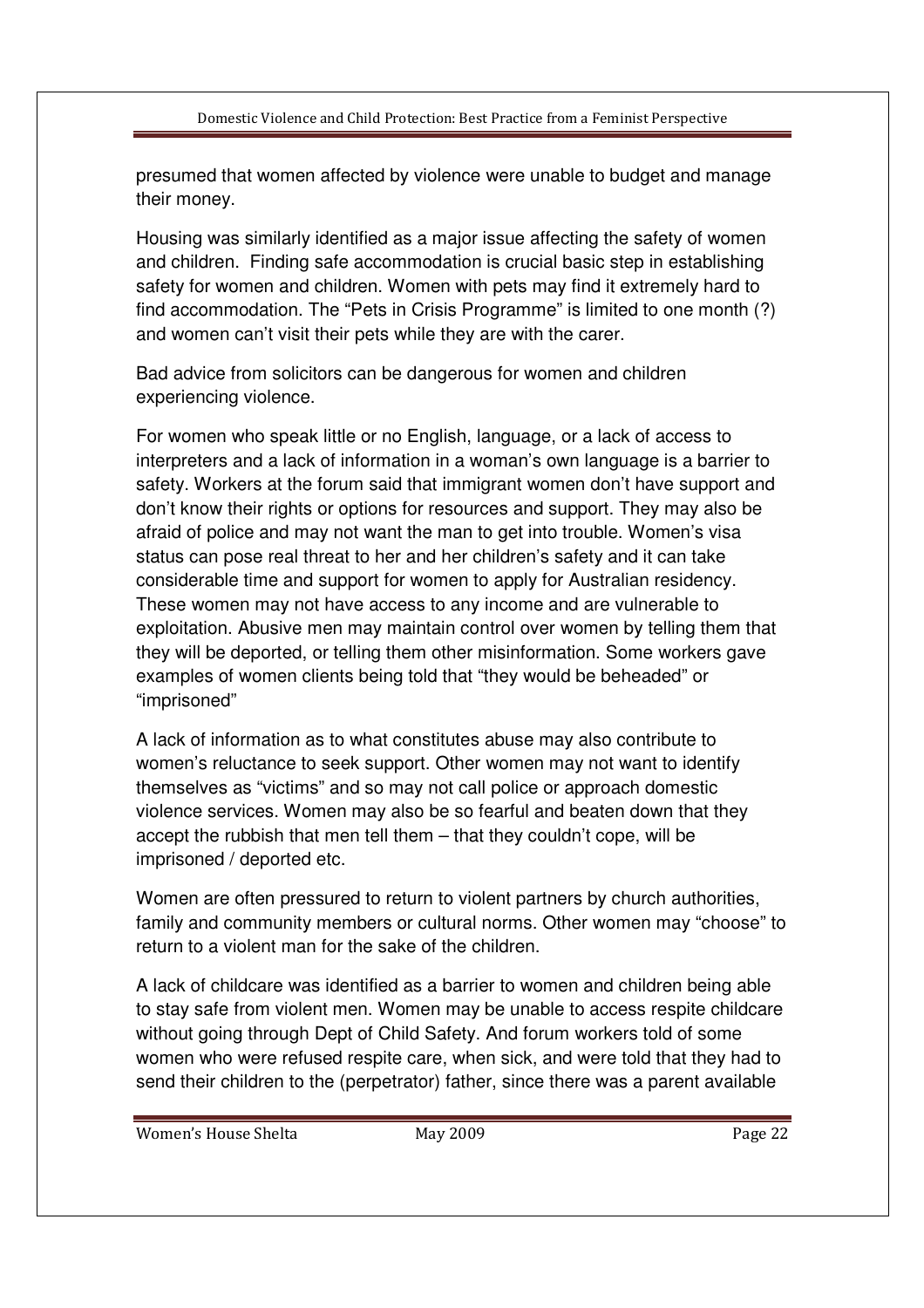presumed that women affected by violence were unable to budget and manage their money.

Housing was similarly identified as a major issue affecting the safety of women and children. Finding safe accommodation is crucial basic step in establishing safety for women and children. Women with pets may find it extremely hard to find accommodation. The "Pets in Crisis Programme" is limited to one month (?) and women can't visit their pets while they are with the carer.

Bad advice from solicitors can be dangerous for women and children experiencing violence.

For women who speak little or no English, language, or a lack of access to interpreters and a lack of information in a woman's own language is a barrier to safety. Workers at the forum said that immigrant women don't have support and don't know their rights or options for resources and support. They may also be afraid of police and may not want the man to get into trouble. Women's visa status can pose real threat to her and her children's safety and it can take considerable time and support for women to apply for Australian residency. These women may not have access to any income and are vulnerable to exploitation. Abusive men may maintain control over women by telling them that they will be deported, or telling them other misinformation. Some workers gave examples of women clients being told that "they would be beheaded" or "imprisoned"

A lack of information as to what constitutes abuse may also contribute to women's reluctance to seek support. Other women may not want to identify themselves as "victims" and so may not call police or approach domestic violence services. Women may also be so fearful and beaten down that they accept the rubbish that men tell them – that they couldn't cope, will be imprisoned / deported etc.

Women are often pressured to return to violent partners by church authorities, family and community members or cultural norms. Other women may "choose" to return to a violent man for the sake of the children.

A lack of childcare was identified as a barrier to women and children being able to stay safe from violent men. Women may be unable to access respite childcare without going through Dept of Child Safety. And forum workers told of some women who were refused respite care, when sick, and were told that they had to send their children to the (perpetrator) father, since there was a parent available

Women's House Shelta **May 2009 Page 22** Page 22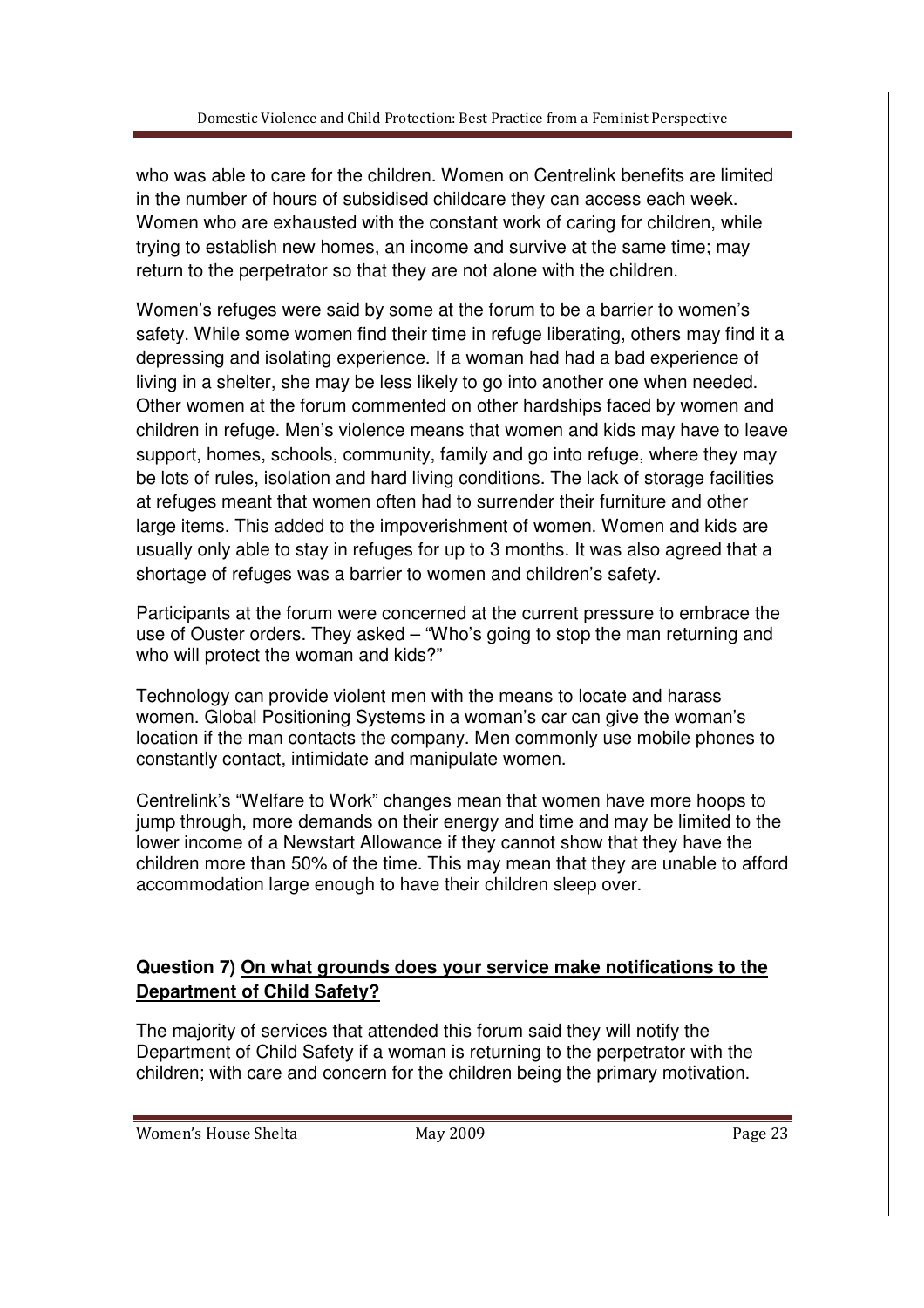who was able to care for the children. Women on Centrelink benefits are limited in the number of hours of subsidised childcare they can access each week. Women who are exhausted with the constant work of caring for children, while trying to establish new homes, an income and survive at the same time; may return to the perpetrator so that they are not alone with the children.

Women's refuges were said by some at the forum to be a barrier to women's safety. While some women find their time in refuge liberating, others may find it a depressing and isolating experience. If a woman had had a bad experience of living in a shelter, she may be less likely to go into another one when needed. Other women at the forum commented on other hardships faced by women and children in refuge. Men's violence means that women and kids may have to leave support, homes, schools, community, family and go into refuge, where they may be lots of rules, isolation and hard living conditions. The lack of storage facilities at refuges meant that women often had to surrender their furniture and other large items. This added to the impoverishment of women. Women and kids are usually only able to stay in refuges for up to 3 months. It was also agreed that a shortage of refuges was a barrier to women and children's safety.

Participants at the forum were concerned at the current pressure to embrace the use of Ouster orders. They asked – "Who's going to stop the man returning and who will protect the woman and kids?"

Technology can provide violent men with the means to locate and harass women. Global Positioning Systems in a woman's car can give the woman's location if the man contacts the company. Men commonly use mobile phones to constantly contact, intimidate and manipulate women.

Centrelink's "Welfare to Work" changes mean that women have more hoops to jump through, more demands on their energy and time and may be limited to the lower income of a Newstart Allowance if they cannot show that they have the children more than 50% of the time. This may mean that they are unable to afford accommodation large enough to have their children sleep over.

## **Question 7) On what grounds does your service make notifications to the Department of Child Safety?**

The majority of services that attended this forum said they will notify the Department of Child Safety if a woman is returning to the perpetrator with the children; with care and concern for the children being the primary motivation.

Women's House Shelta **May 2009 Page 23** Page 23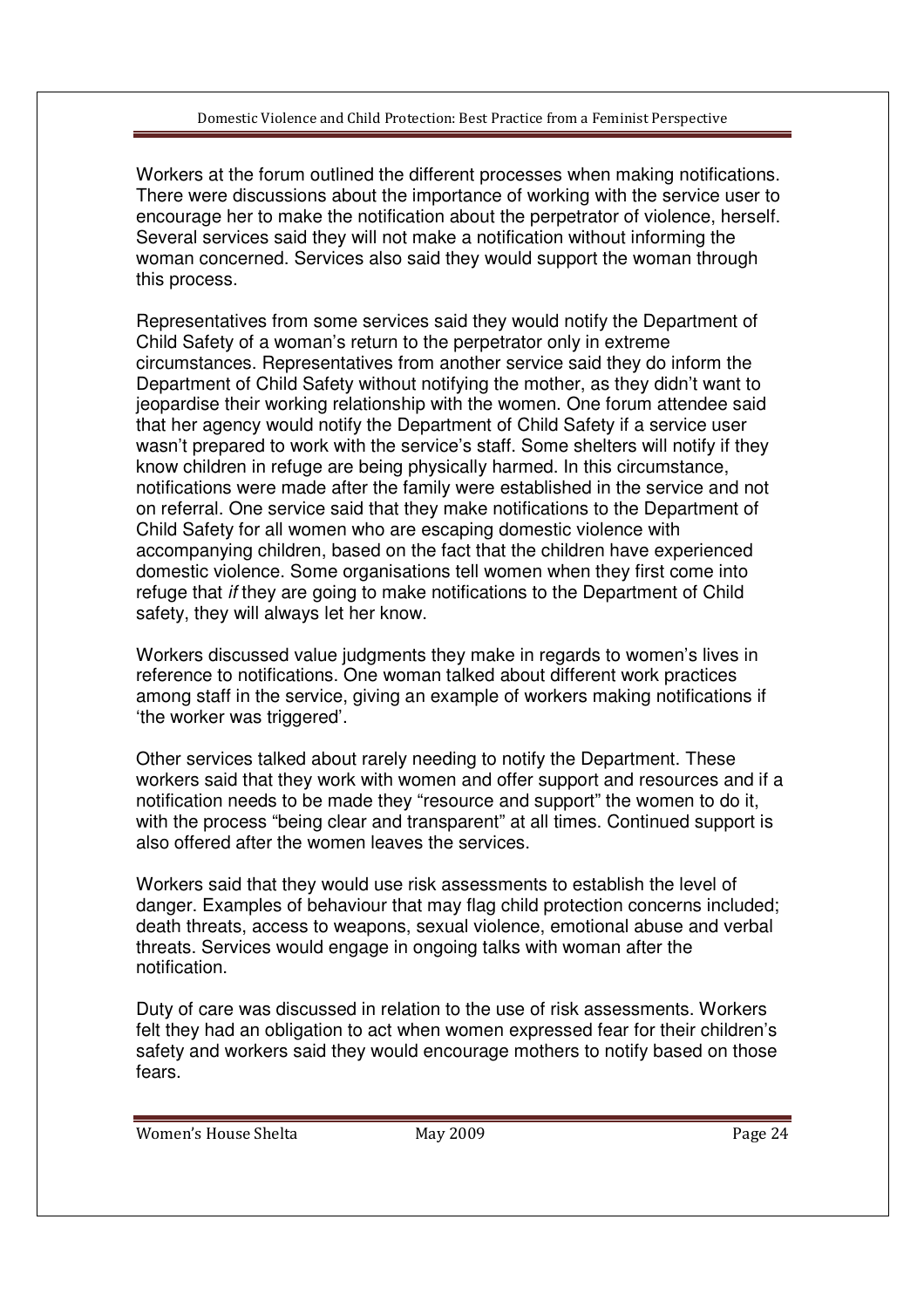Workers at the forum outlined the different processes when making notifications. There were discussions about the importance of working with the service user to encourage her to make the notification about the perpetrator of violence, herself. Several services said they will not make a notification without informing the woman concerned. Services also said they would support the woman through this process.

Representatives from some services said they would notify the Department of Child Safety of a woman's return to the perpetrator only in extreme circumstances. Representatives from another service said they do inform the Department of Child Safety without notifying the mother, as they didn't want to jeopardise their working relationship with the women. One forum attendee said that her agency would notify the Department of Child Safety if a service user wasn't prepared to work with the service's staff. Some shelters will notify if they know children in refuge are being physically harmed. In this circumstance, notifications were made after the family were established in the service and not on referral. One service said that they make notifications to the Department of Child Safety for all women who are escaping domestic violence with accompanying children, based on the fact that the children have experienced domestic violence. Some organisations tell women when they first come into refuge that if they are going to make notifications to the Department of Child safety, they will always let her know.

Workers discussed value judgments they make in regards to women's lives in reference to notifications. One woman talked about different work practices among staff in the service, giving an example of workers making notifications if 'the worker was triggered'.

Other services talked about rarely needing to notify the Department. These workers said that they work with women and offer support and resources and if a notification needs to be made they "resource and support" the women to do it, with the process "being clear and transparent" at all times. Continued support is also offered after the women leaves the services.

Workers said that they would use risk assessments to establish the level of danger. Examples of behaviour that may flag child protection concerns included; death threats, access to weapons, sexual violence, emotional abuse and verbal threats. Services would engage in ongoing talks with woman after the notification.

Duty of care was discussed in relation to the use of risk assessments. Workers felt they had an obligation to act when women expressed fear for their children's safety and workers said they would encourage mothers to notify based on those fears.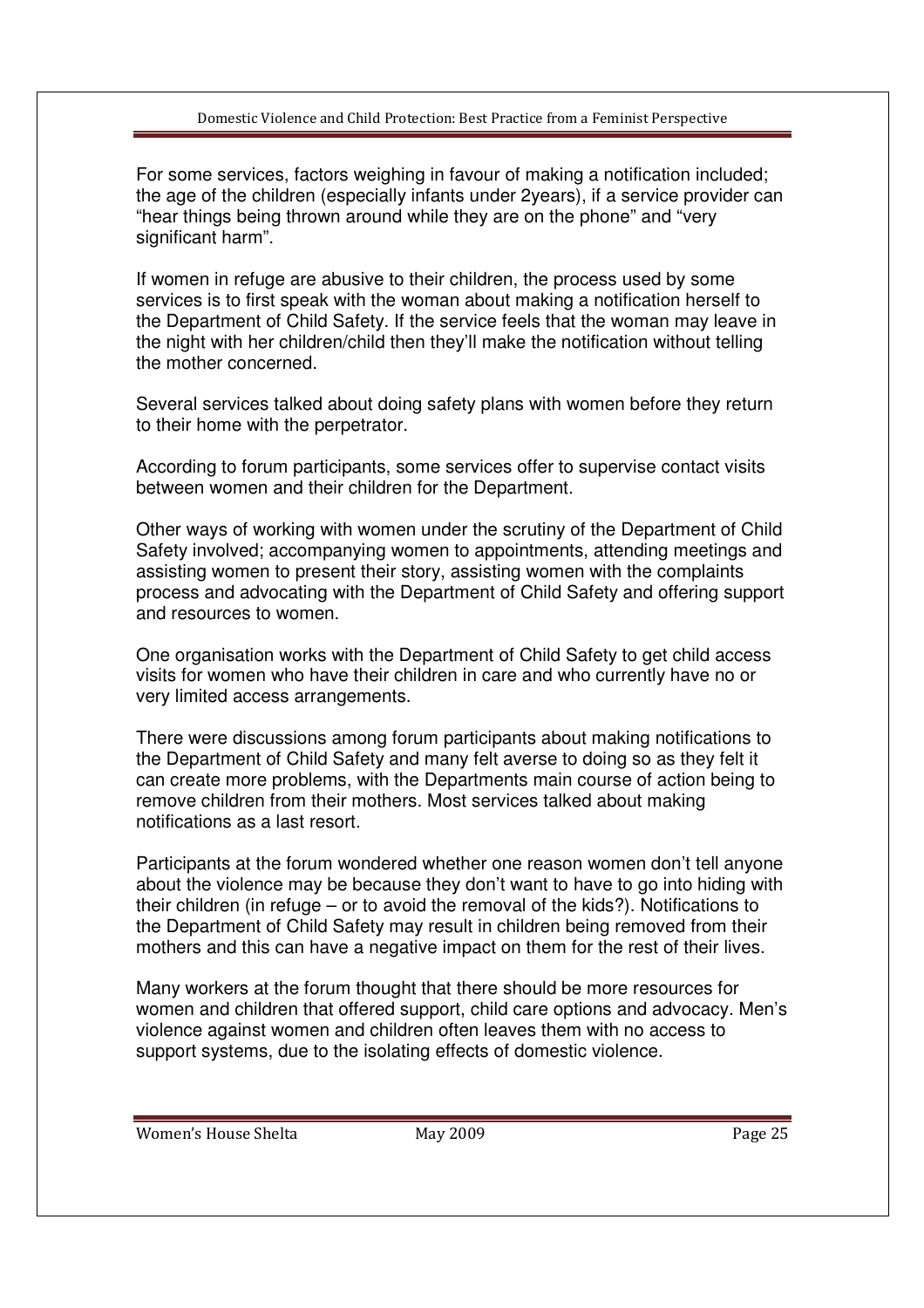For some services, factors weighing in favour of making a notification included; the age of the children (especially infants under 2years), if a service provider can "hear things being thrown around while they are on the phone" and "very significant harm".

If women in refuge are abusive to their children, the process used by some services is to first speak with the woman about making a notification herself to the Department of Child Safety. If the service feels that the woman may leave in the night with her children/child then they'll make the notification without telling the mother concerned.

Several services talked about doing safety plans with women before they return to their home with the perpetrator.

According to forum participants, some services offer to supervise contact visits between women and their children for the Department.

Other ways of working with women under the scrutiny of the Department of Child Safety involved; accompanying women to appointments, attending meetings and assisting women to present their story, assisting women with the complaints process and advocating with the Department of Child Safety and offering support and resources to women.

One organisation works with the Department of Child Safety to get child access visits for women who have their children in care and who currently have no or very limited access arrangements.

There were discussions among forum participants about making notifications to the Department of Child Safety and many felt averse to doing so as they felt it can create more problems, with the Departments main course of action being to remove children from their mothers. Most services talked about making notifications as a last resort.

Participants at the forum wondered whether one reason women don't tell anyone about the violence may be because they don't want to have to go into hiding with their children (in refuge – or to avoid the removal of the kids?). Notifications to the Department of Child Safety may result in children being removed from their mothers and this can have a negative impact on them for the rest of their lives.

Many workers at the forum thought that there should be more resources for women and children that offered support, child care options and advocacy. Men's violence against women and children often leaves them with no access to support systems, due to the isolating effects of domestic violence.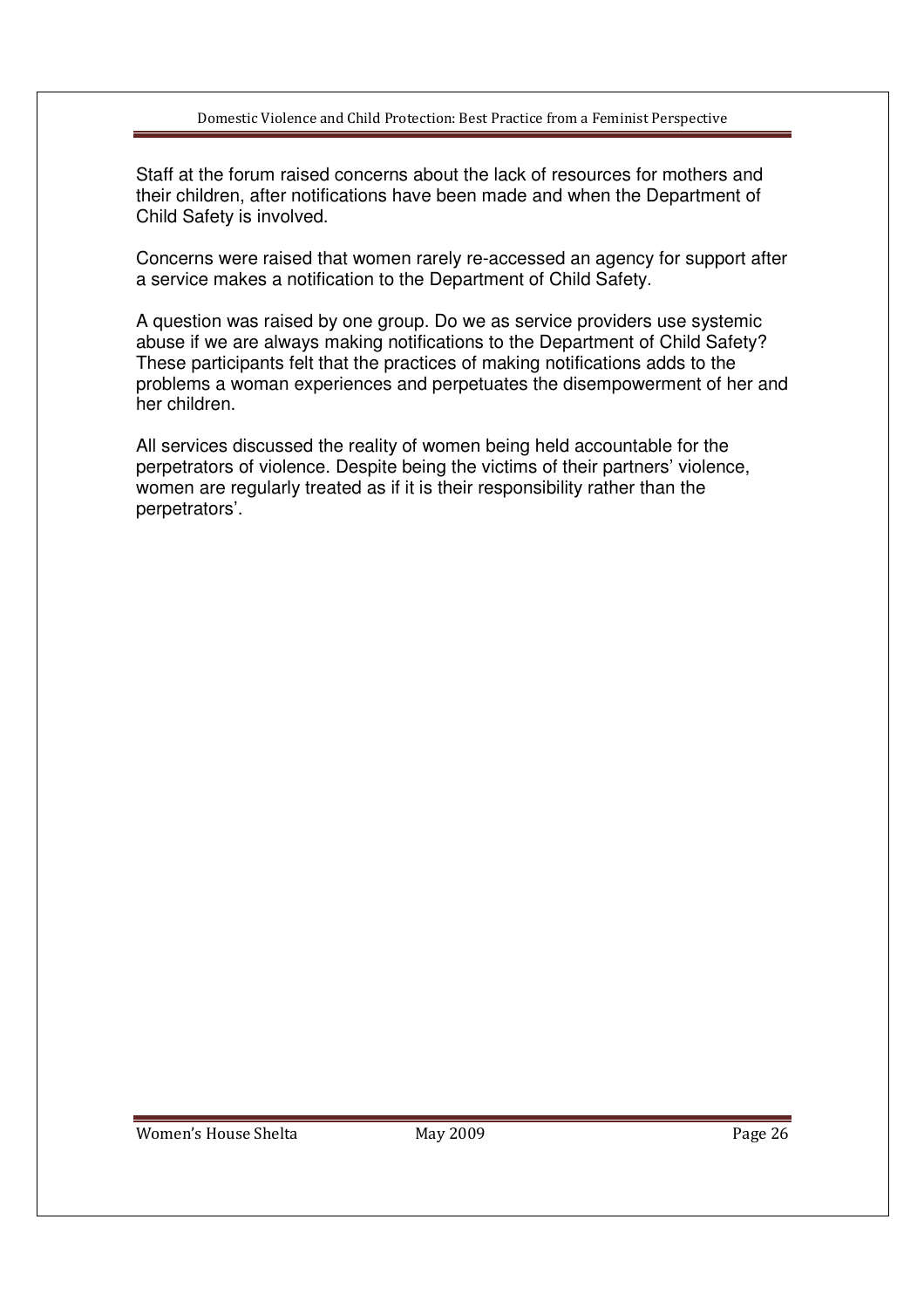Staff at the forum raised concerns about the lack of resources for mothers and their children, after notifications have been made and when the Department of Child Safety is involved.

Concerns were raised that women rarely re-accessed an agency for support after a service makes a notification to the Department of Child Safety.

A question was raised by one group. Do we as service providers use systemic abuse if we are always making notifications to the Department of Child Safety? These participants felt that the practices of making notifications adds to the problems a woman experiences and perpetuates the disempowerment of her and her children.

All services discussed the reality of women being held accountable for the perpetrators of violence. Despite being the victims of their partners' violence, women are regularly treated as if it is their responsibility rather than the perpetrators'.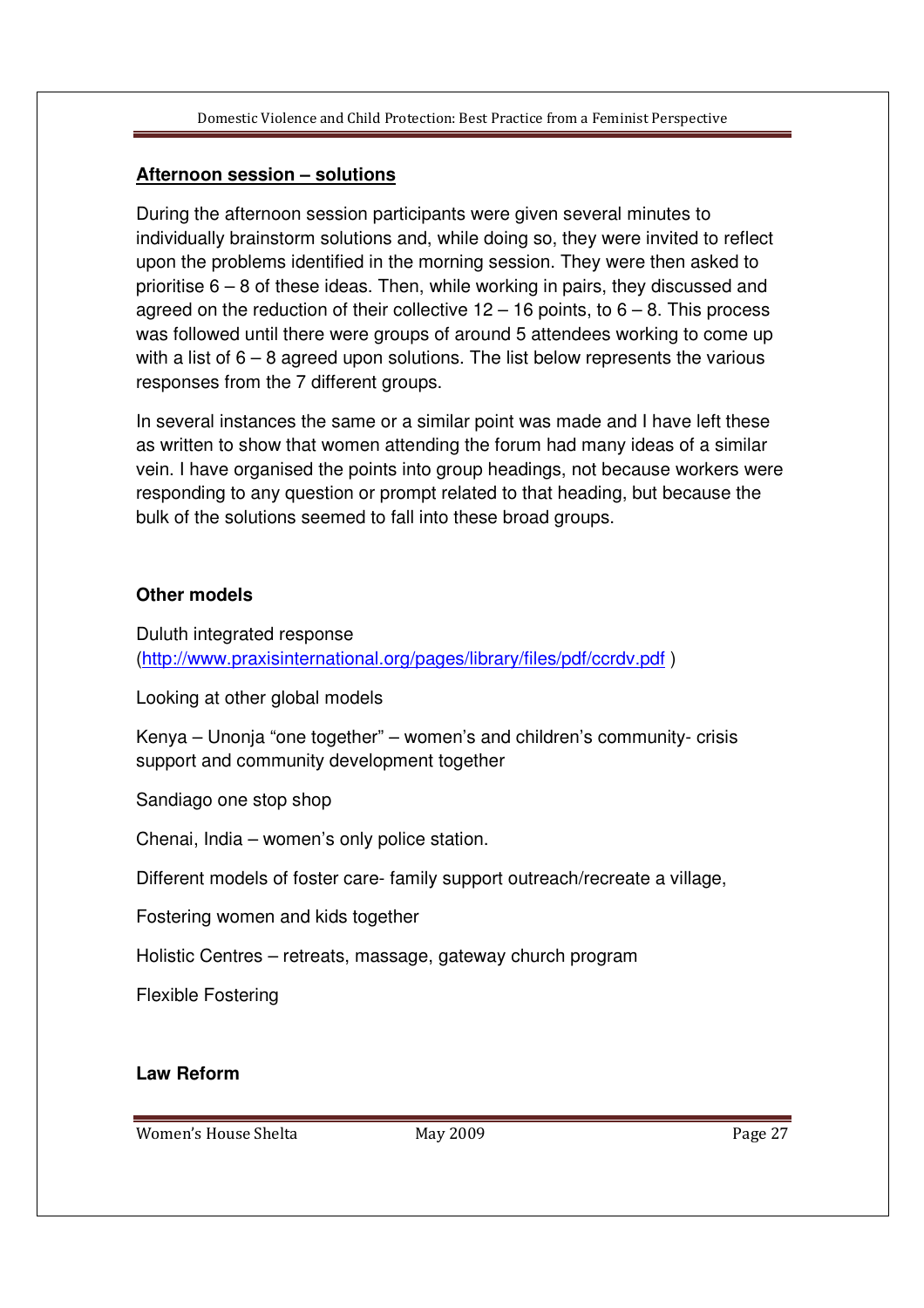## **Afternoon session – solutions**

During the afternoon session participants were given several minutes to individually brainstorm solutions and, while doing so, they were invited to reflect upon the problems identified in the morning session. They were then asked to prioritise 6 – 8 of these ideas. Then, while working in pairs, they discussed and agreed on the reduction of their collective  $12 - 16$  points, to  $6 - 8$ . This process was followed until there were groups of around 5 attendees working to come up with a list of  $6 - 8$  agreed upon solutions. The list below represents the various responses from the 7 different groups.

In several instances the same or a similar point was made and I have left these as written to show that women attending the forum had many ideas of a similar vein. I have organised the points into group headings, not because workers were responding to any question or prompt related to that heading, but because the bulk of the solutions seemed to fall into these broad groups.

## **Other models**

Duluth integrated response (http://www.praxisinternational.org/pages/library/files/pdf/ccrdv.pdf )

Looking at other global models

Kenya – Unonja "one together" – women's and children's community- crisis support and community development together

Sandiago one stop shop

Chenai, India – women's only police station.

Different models of foster care- family support outreach/recreate a village,

Fostering women and kids together

Holistic Centres – retreats, massage, gateway church program

Flexible Fostering

#### **Law Reform**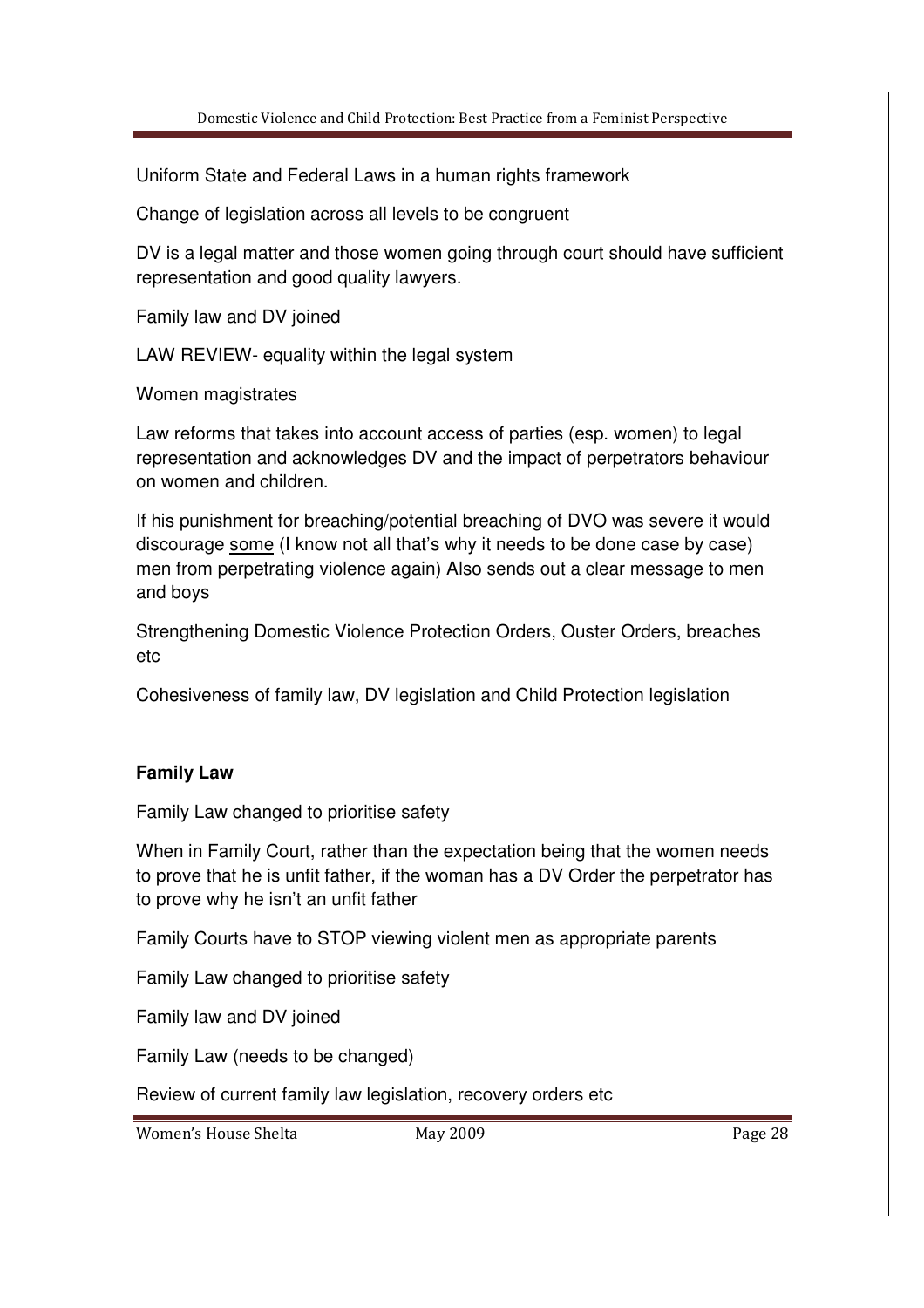Uniform State and Federal Laws in a human rights framework

Change of legislation across all levels to be congruent

DV is a legal matter and those women going through court should have sufficient representation and good quality lawyers.

Family law and DV joined

LAW REVIEW- equality within the legal system

Women magistrates

Law reforms that takes into account access of parties (esp. women) to legal representation and acknowledges DV and the impact of perpetrators behaviour on women and children.

If his punishment for breaching/potential breaching of DVO was severe it would discourage some (I know not all that's why it needs to be done case by case) men from perpetrating violence again) Also sends out a clear message to men and boys

Strengthening Domestic Violence Protection Orders, Ouster Orders, breaches etc

Cohesiveness of family law, DV legislation and Child Protection legislation

## **Family Law**

Family Law changed to prioritise safety

When in Family Court, rather than the expectation being that the women needs to prove that he is unfit father, if the woman has a DV Order the perpetrator has to prove why he isn't an unfit father

Family Courts have to STOP viewing violent men as appropriate parents

Family Law changed to prioritise safety

Family law and DV joined

Family Law (needs to be changed)

Review of current family law legislation, recovery orders etc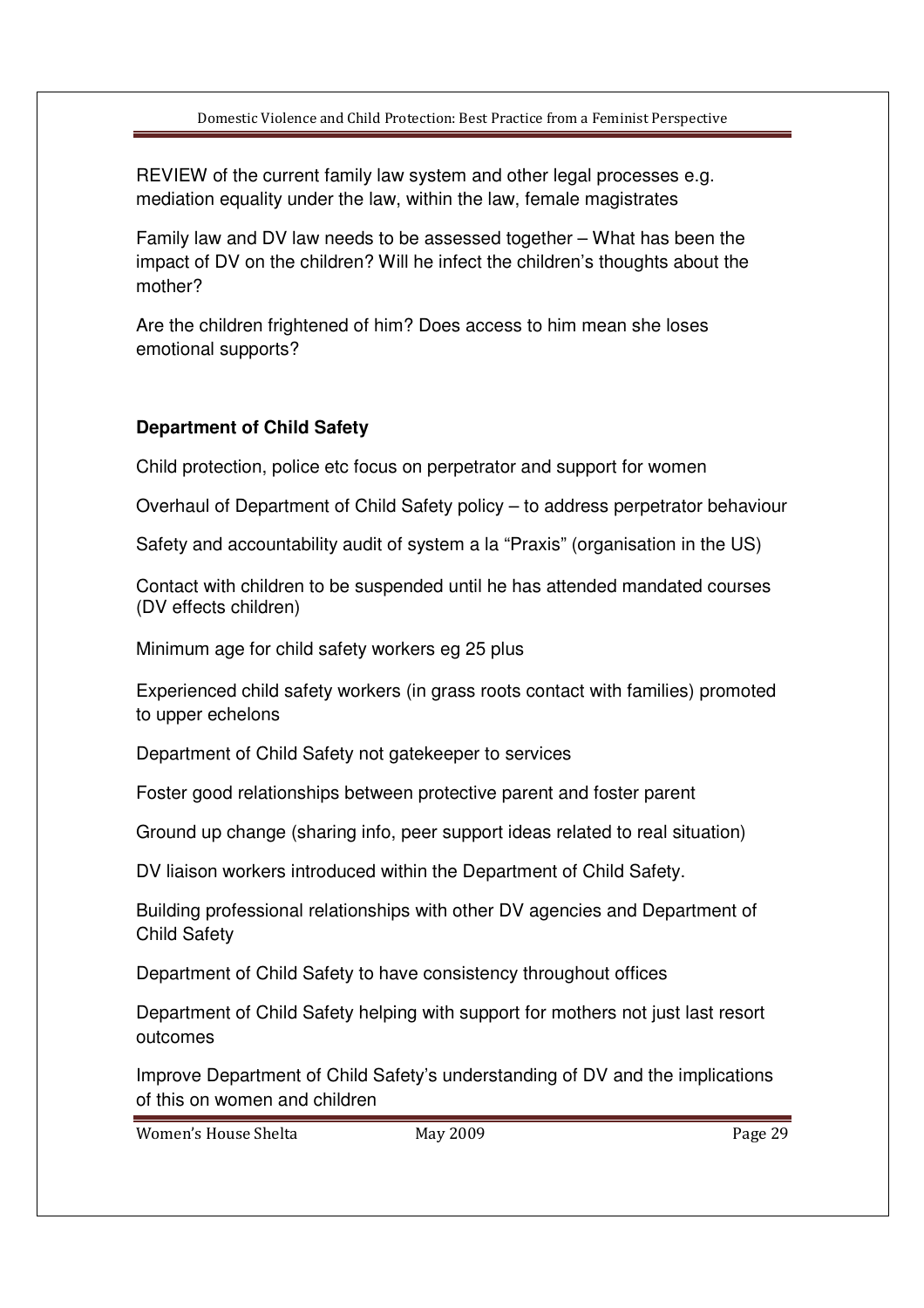REVIEW of the current family law system and other legal processes e.g. mediation equality under the law, within the law, female magistrates

Family law and DV law needs to be assessed together – What has been the impact of DV on the children? Will he infect the children's thoughts about the mother?

Are the children frightened of him? Does access to him mean she loses emotional supports?

# **Department of Child Safety**

Child protection, police etc focus on perpetrator and support for women

Overhaul of Department of Child Safety policy – to address perpetrator behaviour

Safety and accountability audit of system a la "Praxis" (organisation in the US)

Contact with children to be suspended until he has attended mandated courses (DV effects children)

Minimum age for child safety workers eg 25 plus

Experienced child safety workers (in grass roots contact with families) promoted to upper echelons

Department of Child Safety not gatekeeper to services

Foster good relationships between protective parent and foster parent

Ground up change (sharing info, peer support ideas related to real situation)

DV liaison workers introduced within the Department of Child Safety.

Building professional relationships with other DV agencies and Department of Child Safety

Department of Child Safety to have consistency throughout offices

Department of Child Safety helping with support for mothers not just last resort outcomes

Improve Department of Child Safety's understanding of DV and the implications of this on women and children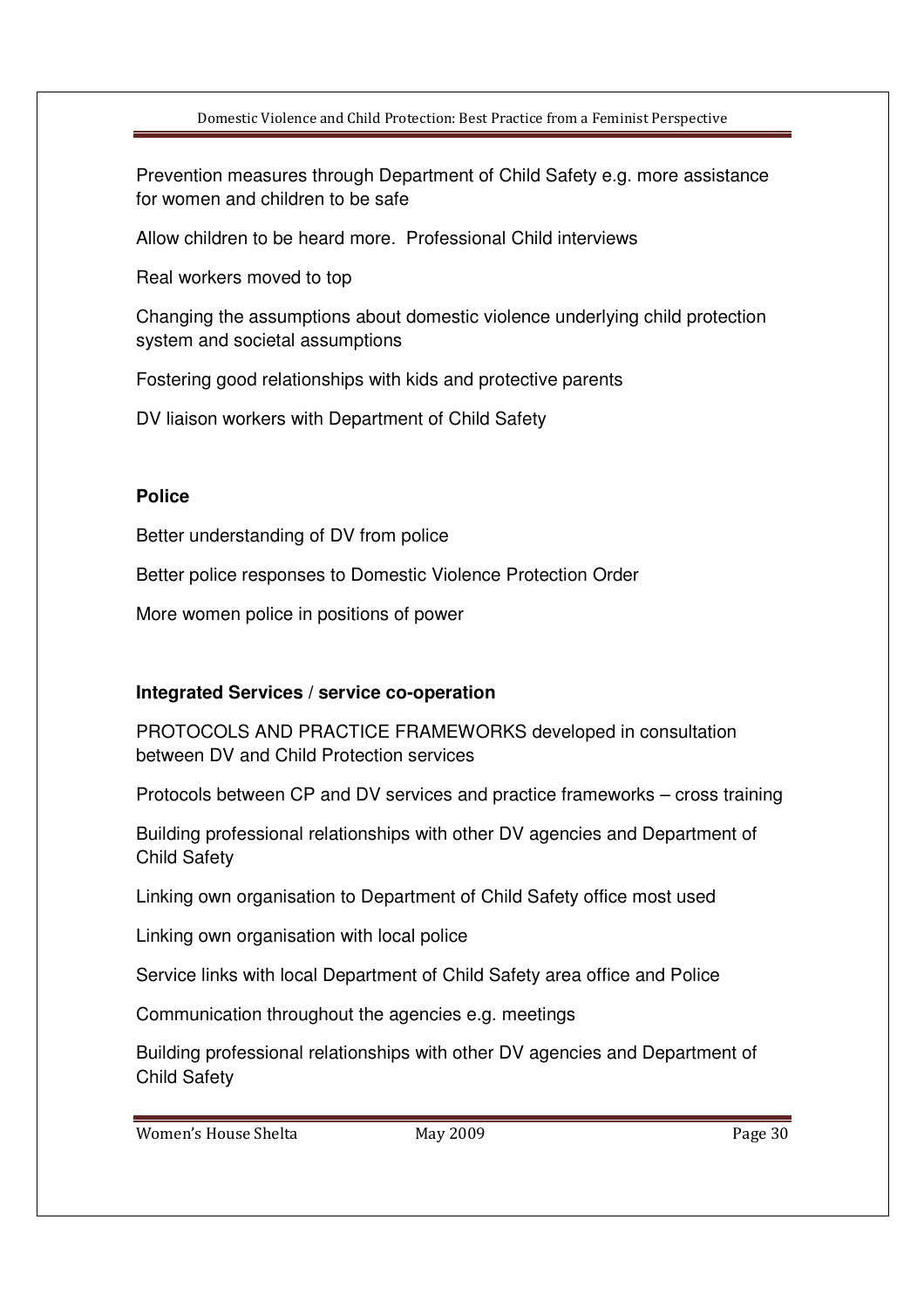Prevention measures through Department of Child Safety e.g. more assistance for women and children to be safe

Allow children to be heard more. Professional Child interviews

Real workers moved to top

Changing the assumptions about domestic violence underlying child protection system and societal assumptions

Fostering good relationships with kids and protective parents

DV liaison workers with Department of Child Safety

## **Police**

Better understanding of DV from police

Better police responses to Domestic Violence Protection Order

More women police in positions of power

## **Integrated Services / service co-operation**

PROTOCOLS AND PRACTICE FRAMEWORKS developed in consultation between DV and Child Protection services

Protocols between CP and DV services and practice frameworks – cross training

Building professional relationships with other DV agencies and Department of Child Safety

Linking own organisation to Department of Child Safety office most used

Linking own organisation with local police

Service links with local Department of Child Safety area office and Police

Communication throughout the agencies e.g. meetings

Building professional relationships with other DV agencies and Department of Child Safety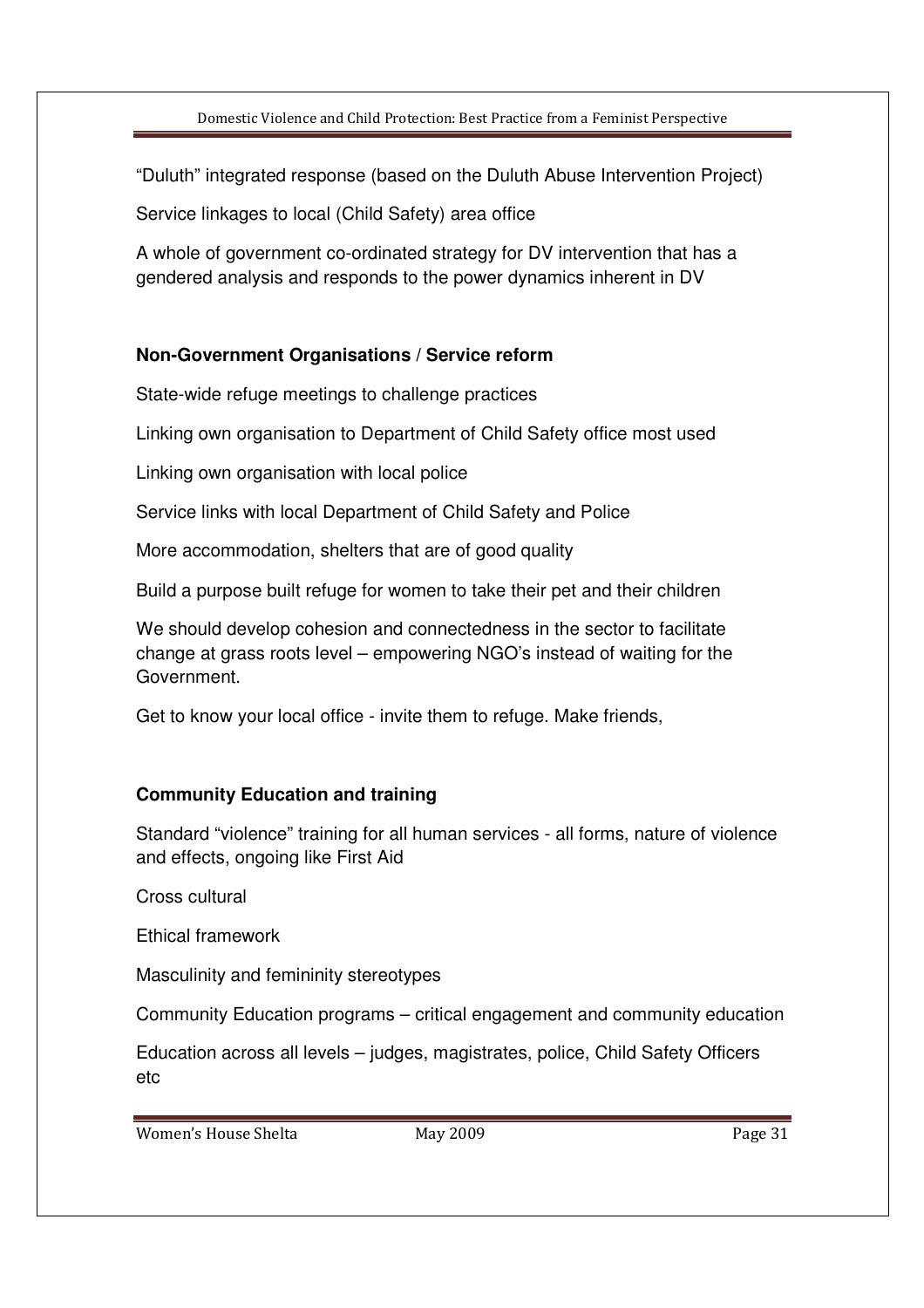"Duluth" integrated response (based on the Duluth Abuse Intervention Project)

Service linkages to local (Child Safety) area office

A whole of government co-ordinated strategy for DV intervention that has a gendered analysis and responds to the power dynamics inherent in DV

## **Non-Government Organisations / Service reform**

State-wide refuge meetings to challenge practices

Linking own organisation to Department of Child Safety office most used

Linking own organisation with local police

Service links with local Department of Child Safety and Police

More accommodation, shelters that are of good quality

Build a purpose built refuge for women to take their pet and their children

We should develop cohesion and connectedness in the sector to facilitate change at grass roots level – empowering NGO's instead of waiting for the Government.

Get to know your local office - invite them to refuge. Make friends,

## **Community Education and training**

Standard "violence" training for all human services - all forms, nature of violence and effects, ongoing like First Aid

Cross cultural

Ethical framework

Masculinity and femininity stereotypes

Community Education programs – critical engagement and community education

Education across all levels – judges, magistrates, police, Child Safety Officers etc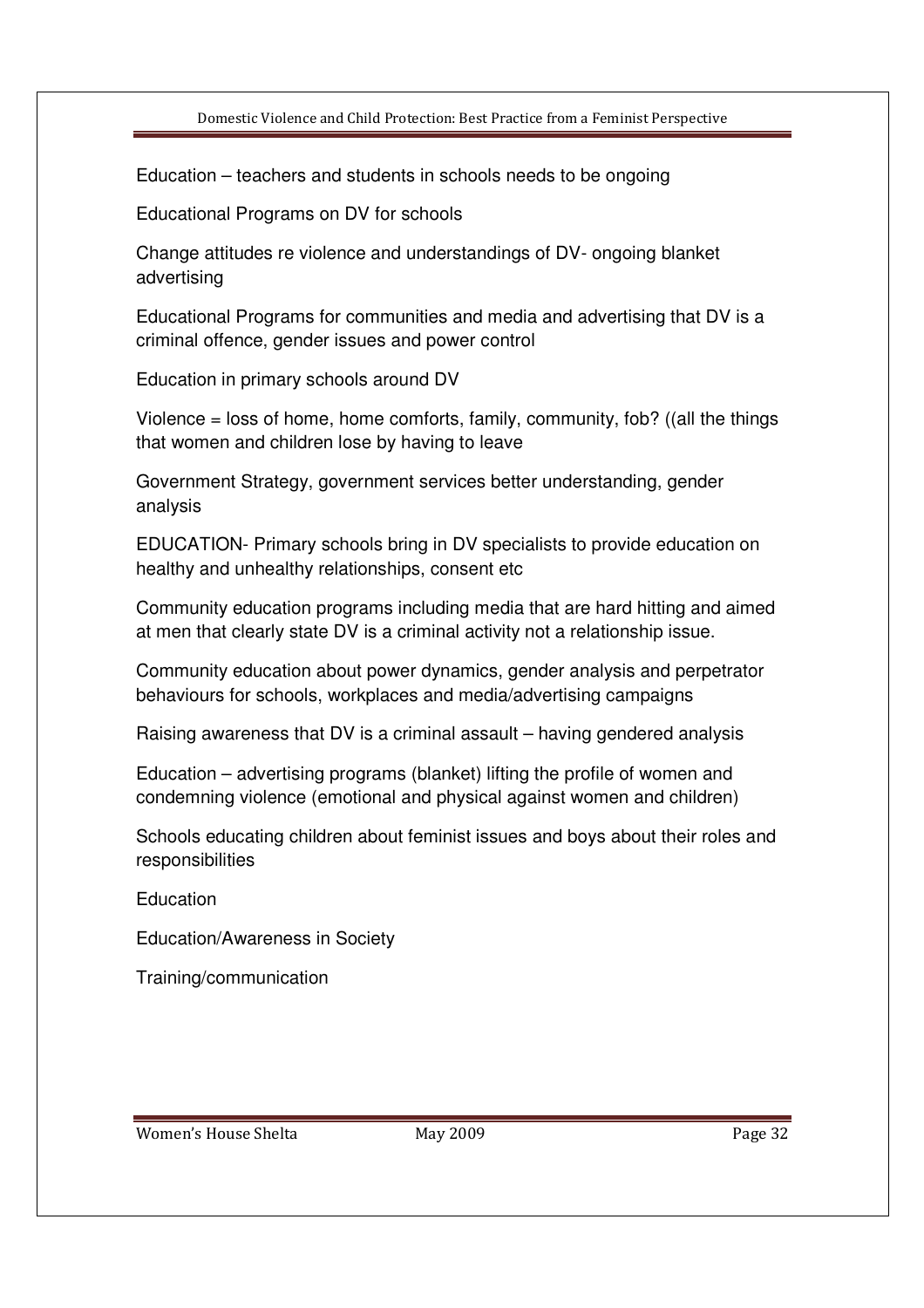Education – teachers and students in schools needs to be ongoing

Educational Programs on DV for schools

Change attitudes re violence and understandings of DV- ongoing blanket advertising

Educational Programs for communities and media and advertising that DV is a criminal offence, gender issues and power control

Education in primary schools around DV

Violence  $=$  loss of home, home comforts, family, community, fob? ((all the things that women and children lose by having to leave

Government Strategy, government services better understanding, gender analysis

EDUCATION- Primary schools bring in DV specialists to provide education on healthy and unhealthy relationships, consent etc

Community education programs including media that are hard hitting and aimed at men that clearly state DV is a criminal activity not a relationship issue.

Community education about power dynamics, gender analysis and perpetrator behaviours for schools, workplaces and media/advertising campaigns

Raising awareness that DV is a criminal assault – having gendered analysis

Education – advertising programs (blanket) lifting the profile of women and condemning violence (emotional and physical against women and children)

Schools educating children about feminist issues and boys about their roles and responsibilities

Education

Education/Awareness in Society

Training/communication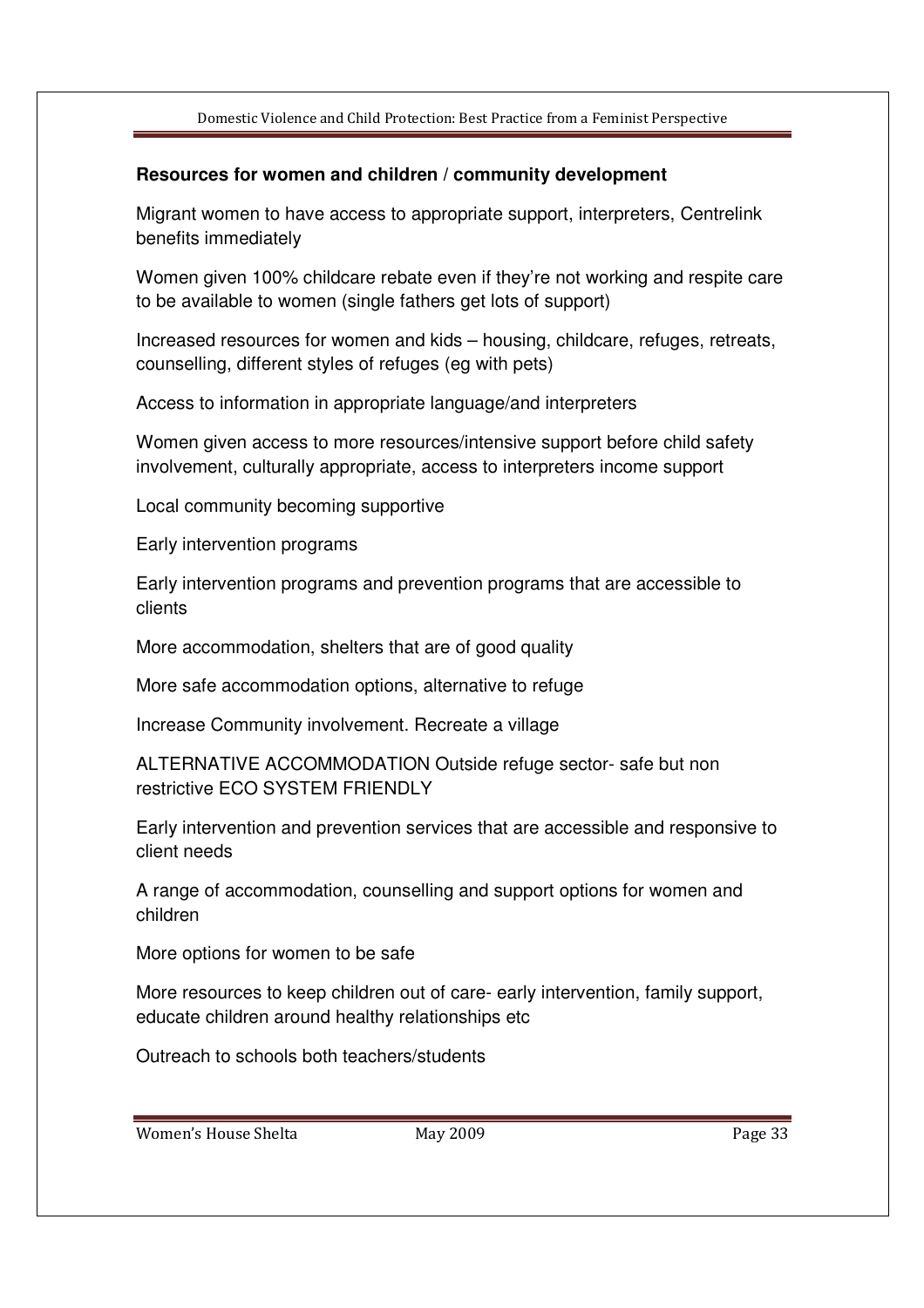#### **Resources for women and children / community development**

Migrant women to have access to appropriate support, interpreters, Centrelink benefits immediately

Women given 100% childcare rebate even if they're not working and respite care to be available to women (single fathers get lots of support)

Increased resources for women and kids – housing, childcare, refuges, retreats, counselling, different styles of refuges (eg with pets)

Access to information in appropriate language/and interpreters

Women given access to more resources/intensive support before child safety involvement, culturally appropriate, access to interpreters income support

Local community becoming supportive

Early intervention programs

Early intervention programs and prevention programs that are accessible to clients

More accommodation, shelters that are of good quality

More safe accommodation options, alternative to refuge

Increase Community involvement. Recreate a village

ALTERNATIVE ACCOMMODATION Outside refuge sector- safe but non restrictive ECO SYSTEM FRIENDLY

Early intervention and prevention services that are accessible and responsive to client needs

A range of accommodation, counselling and support options for women and children

More options for women to be safe

More resources to keep children out of care- early intervention, family support, educate children around healthy relationships etc

Outreach to schools both teachers/students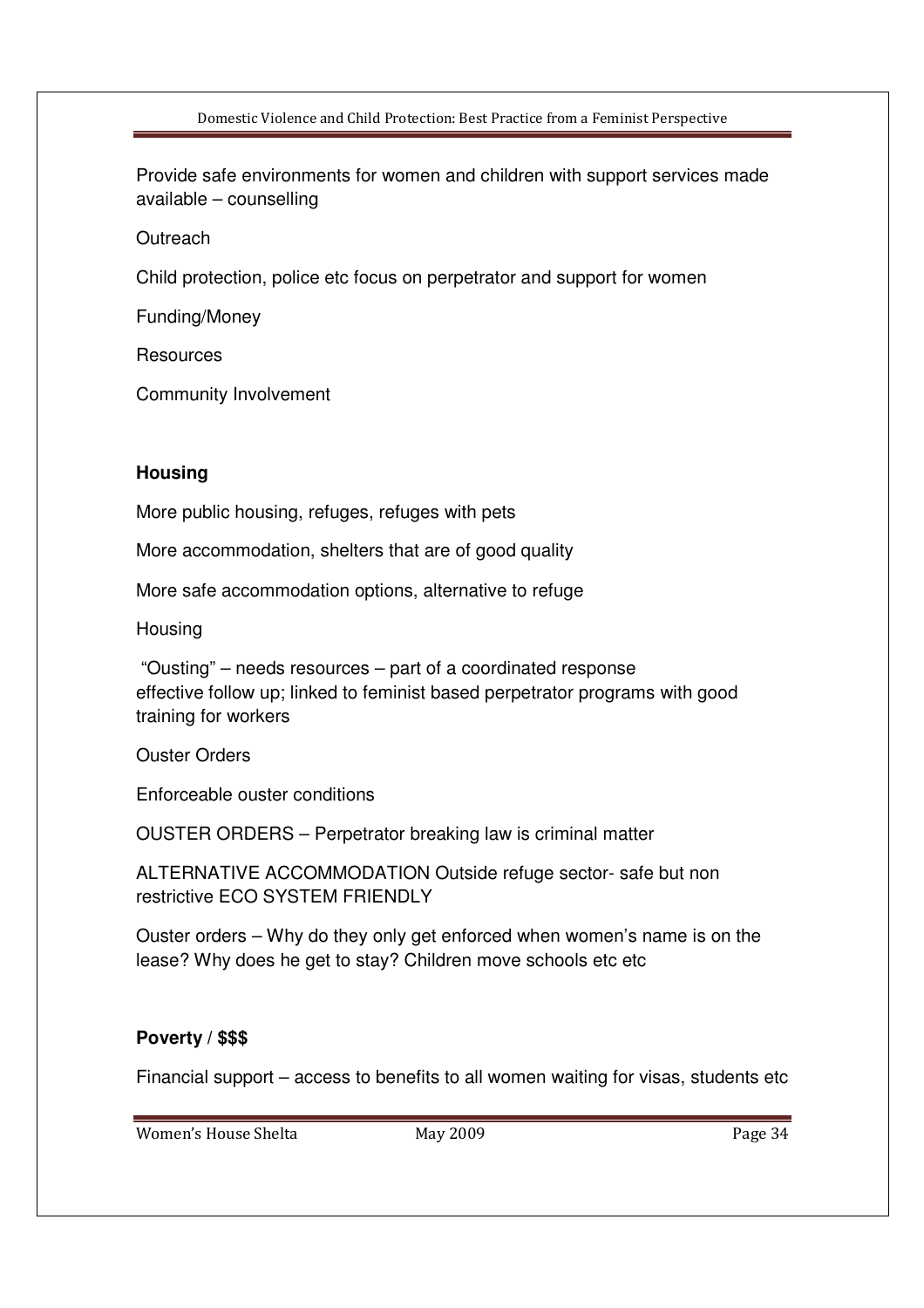Provide safe environments for women and children with support services made available – counselling

**Outreach** 

Child protection, police etc focus on perpetrator and support for women

Funding/Money

**Resources** 

Community Involvement

#### **Housing**

More public housing, refuges, refuges with pets

More accommodation, shelters that are of good quality

More safe accommodation options, alternative to refuge

**Housing** 

 "Ousting" – needs resources – part of a coordinated response effective follow up; linked to feminist based perpetrator programs with good training for workers

Ouster Orders

Enforceable ouster conditions

OUSTER ORDERS – Perpetrator breaking law is criminal matter

ALTERNATIVE ACCOMMODATION Outside refuge sector- safe but non restrictive ECO SYSTEM FRIENDLY

Ouster orders – Why do they only get enforced when women's name is on the lease? Why does he get to stay? Children move schools etc etc

#### **Poverty / \$\$\$**

Financial support – access to benefits to all women waiting for visas, students etc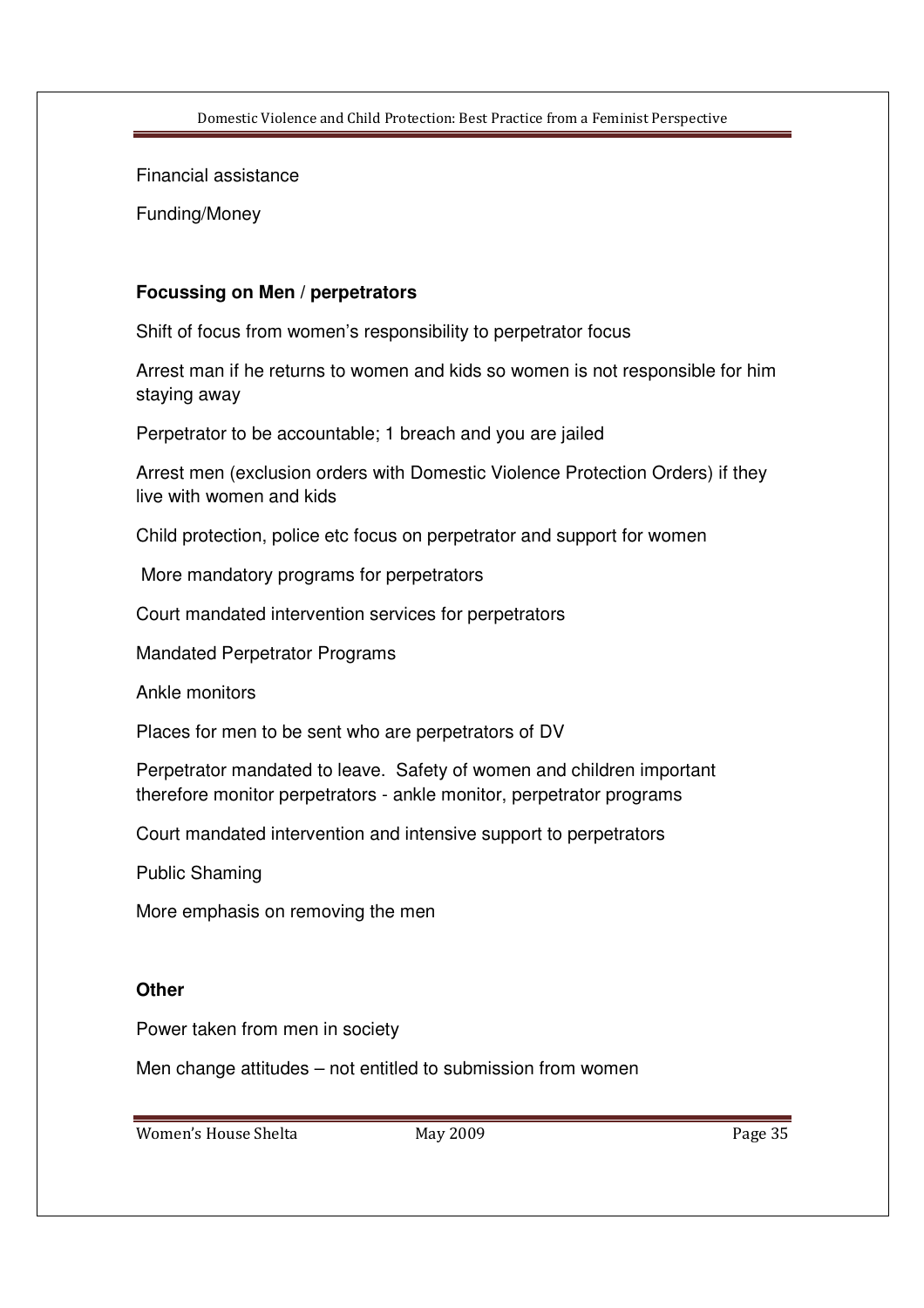Financial assistance

Funding/Money

#### **Focussing on Men / perpetrators**

Shift of focus from women's responsibility to perpetrator focus

Arrest man if he returns to women and kids so women is not responsible for him staying away

Perpetrator to be accountable; 1 breach and you are jailed

Arrest men (exclusion orders with Domestic Violence Protection Orders) if they live with women and kids

Child protection, police etc focus on perpetrator and support for women

More mandatory programs for perpetrators

Court mandated intervention services for perpetrators

Mandated Perpetrator Programs

Ankle monitors

Places for men to be sent who are perpetrators of DV

Perpetrator mandated to leave. Safety of women and children important therefore monitor perpetrators - ankle monitor, perpetrator programs

Court mandated intervention and intensive support to perpetrators

Public Shaming

More emphasis on removing the men

#### **Other**

Power taken from men in society

Men change attitudes – not entitled to submission from women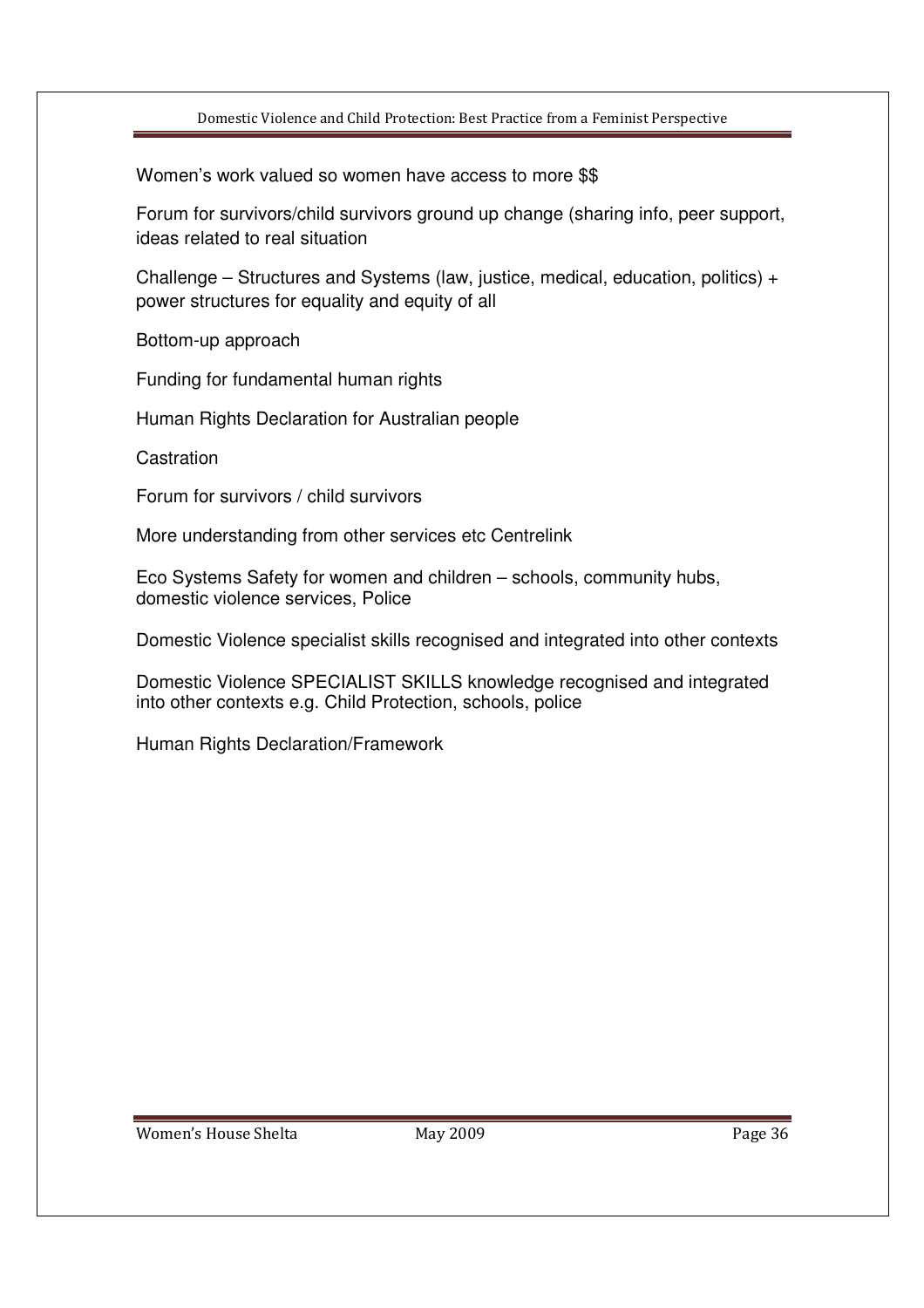Women's work valued so women have access to more \$\$

Forum for survivors/child survivors ground up change (sharing info, peer support, ideas related to real situation

Challenge – Structures and Systems (law, justice, medical, education, politics) + power structures for equality and equity of all

Bottom-up approach

Funding for fundamental human rights

Human Rights Declaration for Australian people

**Castration** 

Forum for survivors / child survivors

More understanding from other services etc Centrelink

Eco Systems Safety for women and children – schools, community hubs, domestic violence services, Police

Domestic Violence specialist skills recognised and integrated into other contexts

Domestic Violence SPECIALIST SKILLS knowledge recognised and integrated into other contexts e.g. Child Protection, schools, police

Human Rights Declaration/Framework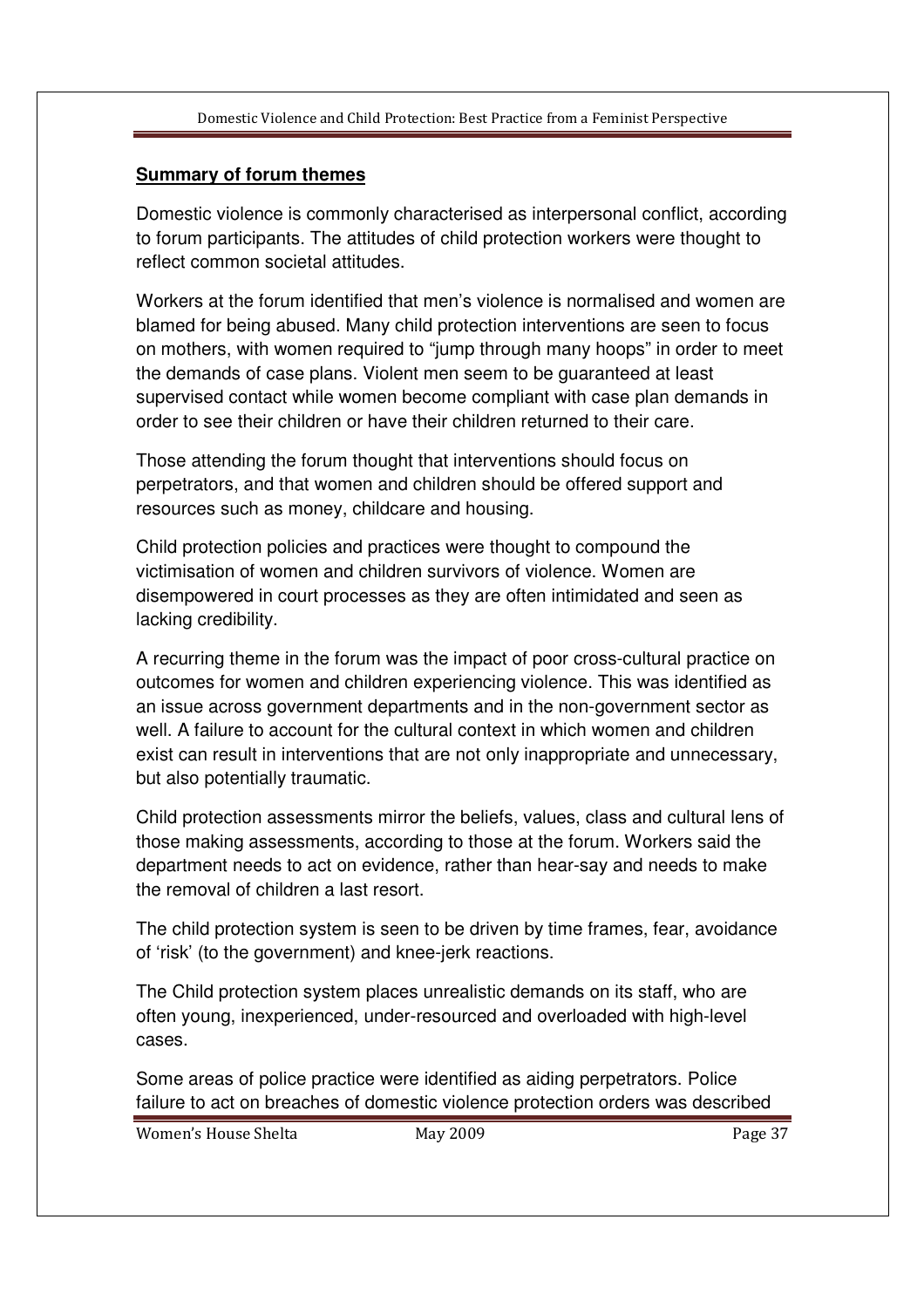# **Summary of forum themes**

Domestic violence is commonly characterised as interpersonal conflict, according to forum participants. The attitudes of child protection workers were thought to reflect common societal attitudes.

Workers at the forum identified that men's violence is normalised and women are blamed for being abused. Many child protection interventions are seen to focus on mothers, with women required to "jump through many hoops" in order to meet the demands of case plans. Violent men seem to be guaranteed at least supervised contact while women become compliant with case plan demands in order to see their children or have their children returned to their care.

Those attending the forum thought that interventions should focus on perpetrators, and that women and children should be offered support and resources such as money, childcare and housing.

Child protection policies and practices were thought to compound the victimisation of women and children survivors of violence. Women are disempowered in court processes as they are often intimidated and seen as lacking credibility.

A recurring theme in the forum was the impact of poor cross-cultural practice on outcomes for women and children experiencing violence. This was identified as an issue across government departments and in the non-government sector as well. A failure to account for the cultural context in which women and children exist can result in interventions that are not only inappropriate and unnecessary, but also potentially traumatic.

Child protection assessments mirror the beliefs, values, class and cultural lens of those making assessments, according to those at the forum. Workers said the department needs to act on evidence, rather than hear-say and needs to make the removal of children a last resort.

The child protection system is seen to be driven by time frames, fear, avoidance of 'risk' (to the government) and knee-jerk reactions.

The Child protection system places unrealistic demands on its staff, who are often young, inexperienced, under-resourced and overloaded with high-level cases.

Some areas of police practice were identified as aiding perpetrators. Police failure to act on breaches of domestic violence protection orders was described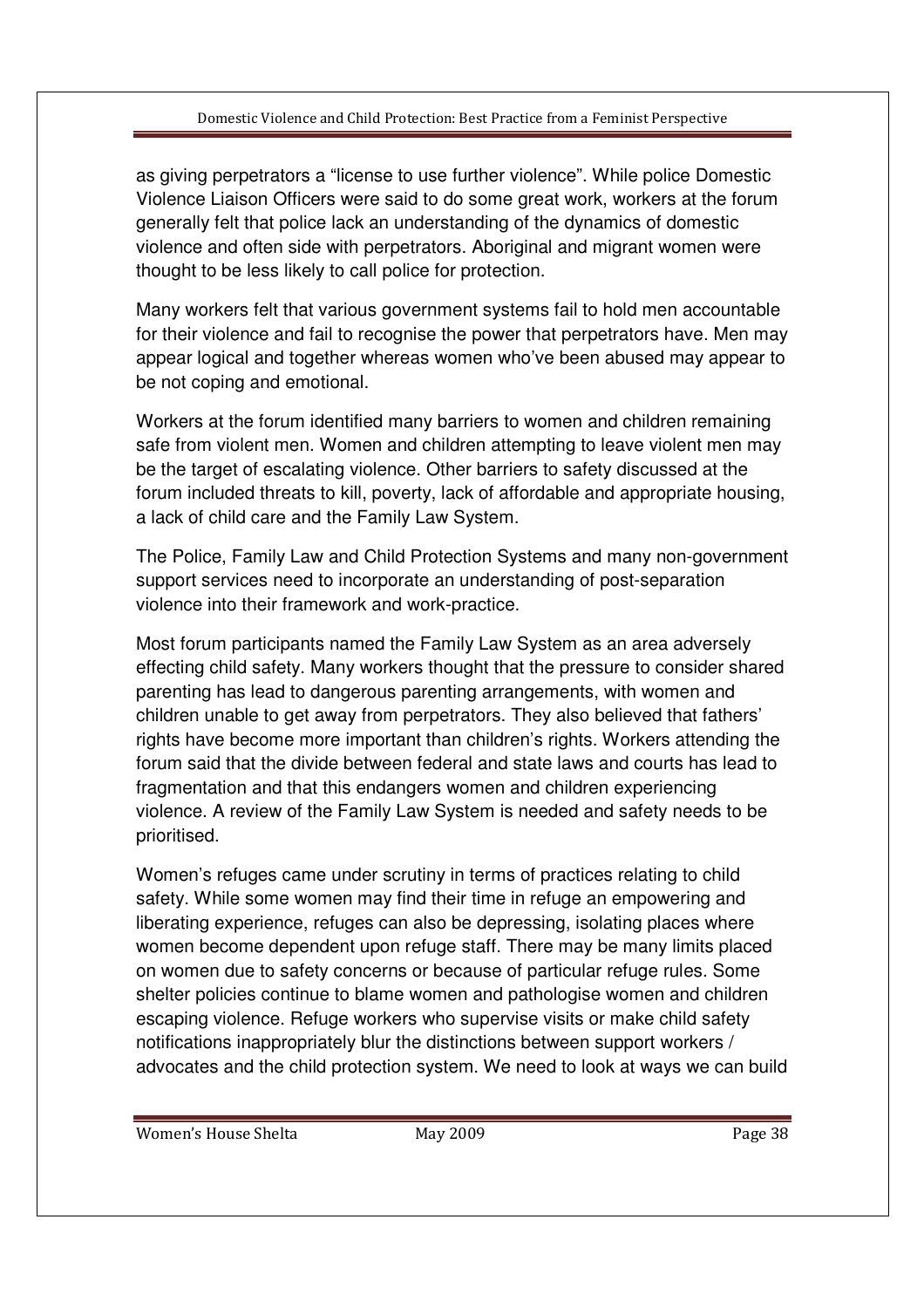as giving perpetrators a "license to use further violence". While police Domestic Violence Liaison Officers were said to do some great work, workers at the forum generally felt that police lack an understanding of the dynamics of domestic violence and often side with perpetrators. Aboriginal and migrant women were thought to be less likely to call police for protection.

Many workers felt that various government systems fail to hold men accountable for their violence and fail to recognise the power that perpetrators have. Men may appear logical and together whereas women who've been abused may appear to be not coping and emotional.

Workers at the forum identified many barriers to women and children remaining safe from violent men. Women and children attempting to leave violent men may be the target of escalating violence. Other barriers to safety discussed at the forum included threats to kill, poverty, lack of affordable and appropriate housing, a lack of child care and the Family Law System.

The Police, Family Law and Child Protection Systems and many non-government support services need to incorporate an understanding of post-separation violence into their framework and work-practice.

Most forum participants named the Family Law System as an area adversely effecting child safety. Many workers thought that the pressure to consider shared parenting has lead to dangerous parenting arrangements, with women and children unable to get away from perpetrators. They also believed that fathers' rights have become more important than children's rights. Workers attending the forum said that the divide between federal and state laws and courts has lead to fragmentation and that this endangers women and children experiencing violence. A review of the Family Law System is needed and safety needs to be prioritised.

Women's refuges came under scrutiny in terms of practices relating to child safety. While some women may find their time in refuge an empowering and liberating experience, refuges can also be depressing, isolating places where women become dependent upon refuge staff. There may be many limits placed on women due to safety concerns or because of particular refuge rules. Some shelter policies continue to blame women and pathologise women and children escaping violence. Refuge workers who supervise visits or make child safety notifications inappropriately blur the distinctions between support workers / advocates and the child protection system. We need to look at ways we can build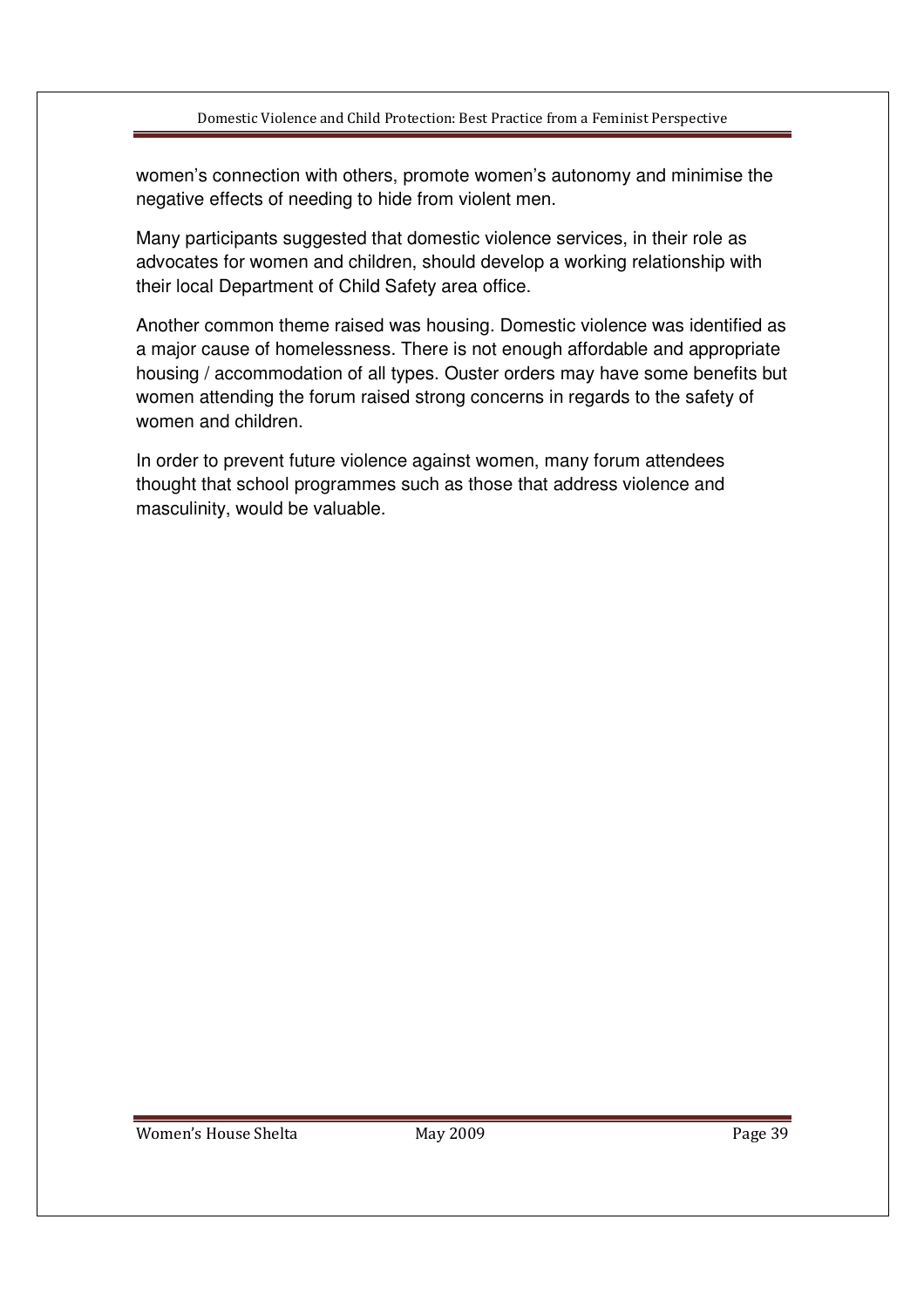women's connection with others, promote women's autonomy and minimise the negative effects of needing to hide from violent men.

Many participants suggested that domestic violence services, in their role as advocates for women and children, should develop a working relationship with their local Department of Child Safety area office.

Another common theme raised was housing. Domestic violence was identified as a major cause of homelessness. There is not enough affordable and appropriate housing / accommodation of all types. Ouster orders may have some benefits but women attending the forum raised strong concerns in regards to the safety of women and children.

In order to prevent future violence against women, many forum attendees thought that school programmes such as those that address violence and masculinity, would be valuable.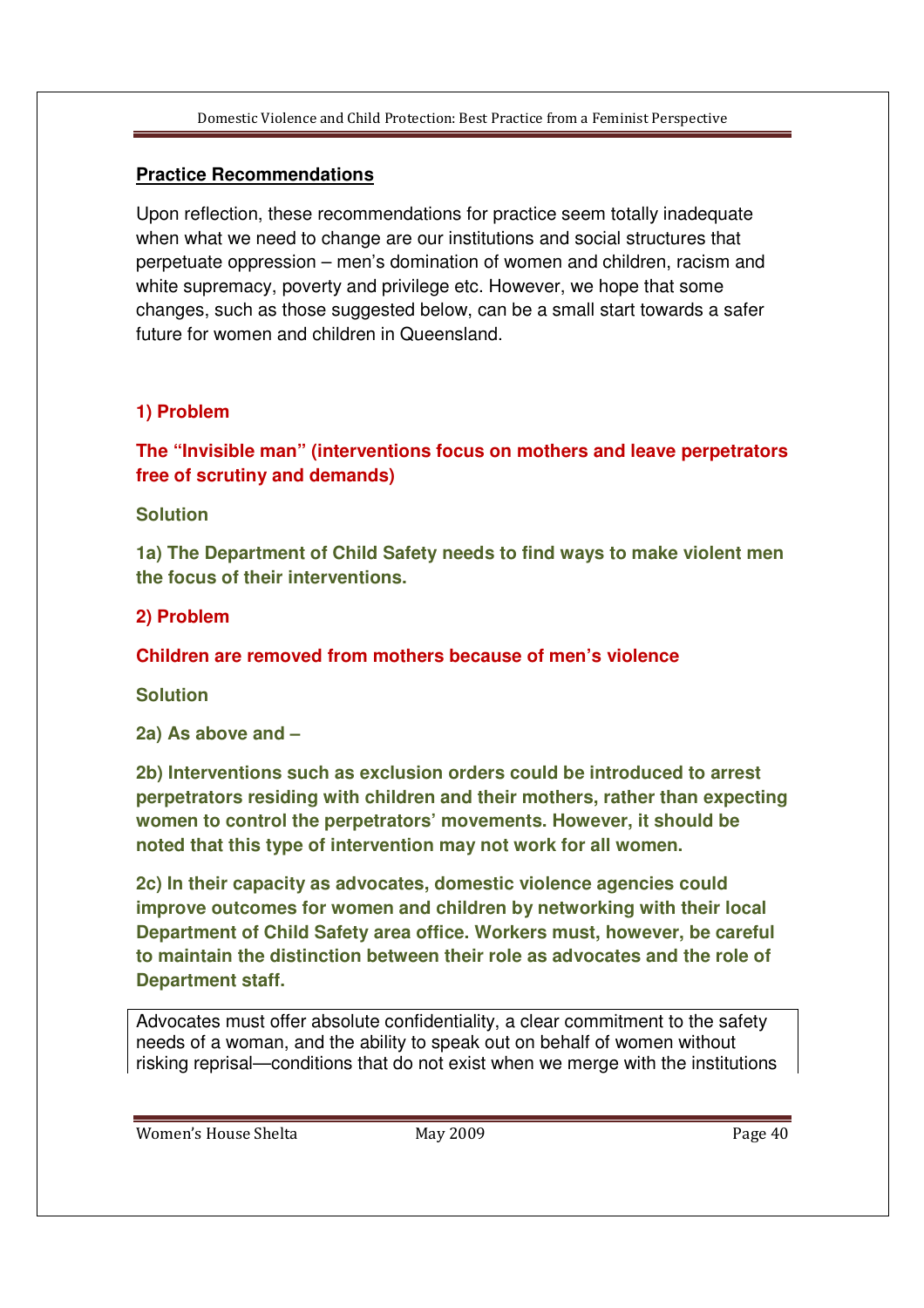## **Practice Recommendations**

Upon reflection, these recommendations for practice seem totally inadequate when what we need to change are our institutions and social structures that perpetuate oppression – men's domination of women and children, racism and white supremacy, poverty and privilege etc. However, we hope that some changes, such as those suggested below, can be a small start towards a safer future for women and children in Queensland.

## **1) Problem**

**The "Invisible man" (interventions focus on mothers and leave perpetrators free of scrutiny and demands)**

#### **Solution**

**1a) The Department of Child Safety needs to find ways to make violent men the focus of their interventions.**

#### **2) Problem**

**Children are removed from mothers because of men's violence** 

**Solution** 

**2a) As above and –** 

**2b) Interventions such as exclusion orders could be introduced to arrest perpetrators residing with children and their mothers, rather than expecting women to control the perpetrators' movements. However, it should be noted that this type of intervention may not work for all women.** 

**2c) In their capacity as advocates, domestic violence agencies could improve outcomes for women and children by networking with their local Department of Child Safety area office. Workers must, however, be careful to maintain the distinction between their role as advocates and the role of Department staff.** 

Advocates must offer absolute confidentiality, a clear commitment to the safety needs of a woman, and the ability to speak out on behalf of women without risking reprisal—conditions that do not exist when we merge with the institutions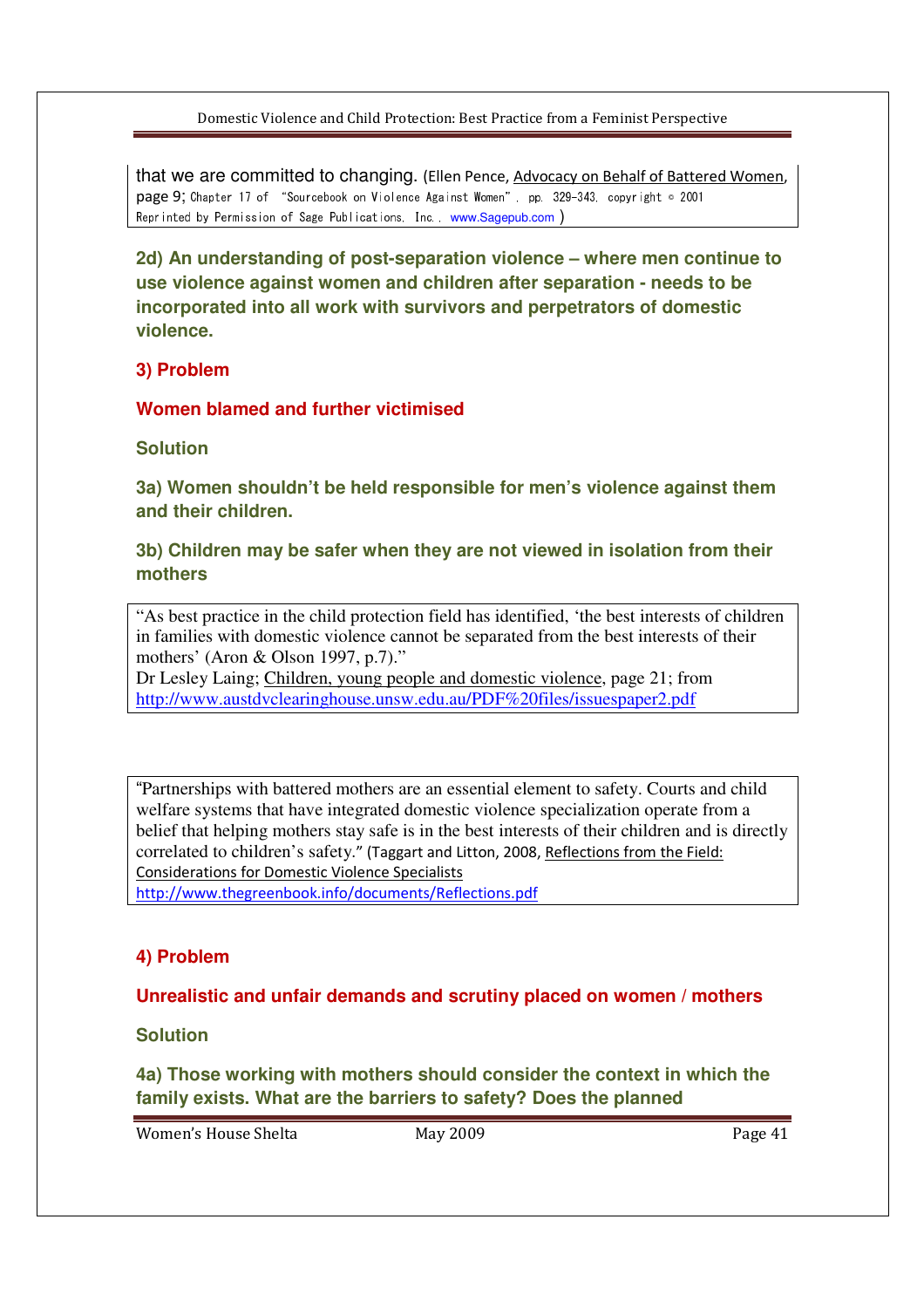that we are committed to changing. (Ellen Pence, Advocacy on Behalf of Battered Women, page 9; Chapter 17 of "Sourcebook on Violence Against Women", pp. 329-343, copyright © 2001 Reprinted by Permission of Sage Publications, Inc., www.Sagepub.com )

**2d) An understanding of post-separation violence – where men continue to use violence against women and children after separation - needs to be incorporated into all work with survivors and perpetrators of domestic violence.** 

## **3) Problem**

**Women blamed and further victimised** 

**Solution** 

**3a) Women shouldn't be held responsible for men's violence against them and their children.** 

## **3b) Children may be safer when they are not viewed in isolation from their mothers**

"As best practice in the child protection field has identified, 'the best interests of children in families with domestic violence cannot be separated from the best interests of their mothers' (Aron & Olson 1997, p.7)."

Dr Lesley Laing; Children, young people and domestic violence, page 21; from http://www.austdvclearinghouse.unsw.edu.au/PDF%20files/issuespaper2.pdf

"Partnerships with battered mothers are an essential element to safety. Courts and child welfare systems that have integrated domestic violence specialization operate from a belief that helping mothers stay safe is in the best interests of their children and is directly correlated to children's safety." (Taggart and Litton, 2008, Reflections from the Field: Considerations for Domestic Violence Specialists

http://www.thegreenbook.info/documents/Reflections.pdf

## **4) Problem**

#### **Unrealistic and unfair demands and scrutiny placed on women / mothers**

**Solution** 

**4a) Those working with mothers should consider the context in which the family exists. What are the barriers to safety? Does the planned**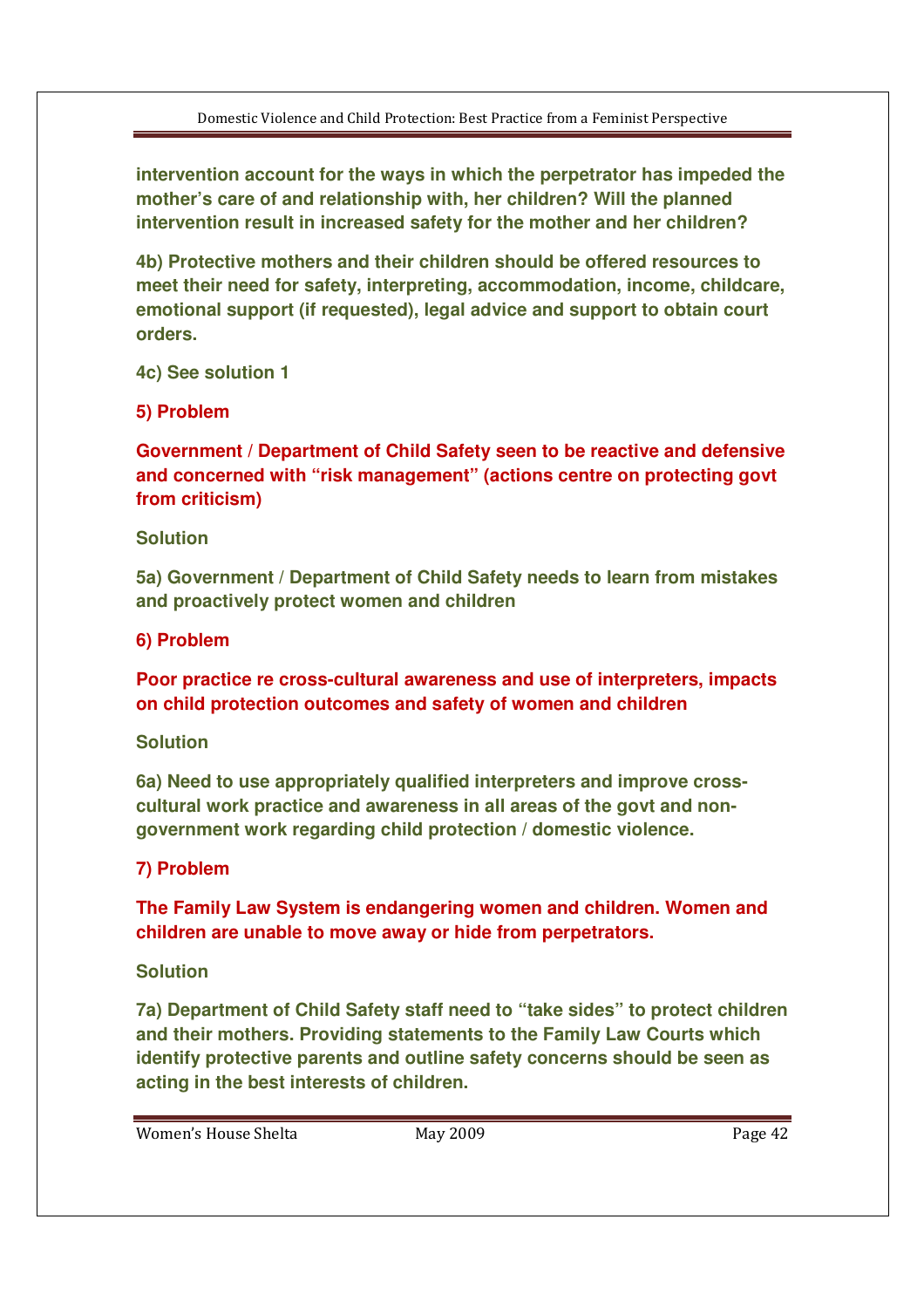**intervention account for the ways in which the perpetrator has impeded the mother's care of and relationship with, her children? Will the planned intervention result in increased safety for the mother and her children?** 

**4b) Protective mothers and their children should be offered resources to meet their need for safety, interpreting, accommodation, income, childcare, emotional support (if requested), legal advice and support to obtain court orders.** 

**4c) See solution 1**

**5) Problem** 

**Government / Department of Child Safety seen to be reactive and defensive and concerned with "risk management" (actions centre on protecting govt from criticism)** 

#### **Solution**

**5a) Government / Department of Child Safety needs to learn from mistakes and proactively protect women and children**

## **6) Problem**

**Poor practice re cross-cultural awareness and use of interpreters, impacts on child protection outcomes and safety of women and children**

#### **Solution**

**6a) Need to use appropriately qualified interpreters and improve crosscultural work practice and awareness in all areas of the govt and nongovernment work regarding child protection / domestic violence.**

## **7) Problem**

**The Family Law System is endangering women and children. Women and children are unable to move away or hide from perpetrators.** 

## **Solution**

**7a) Department of Child Safety staff need to "take sides" to protect children and their mothers. Providing statements to the Family Law Courts which identify protective parents and outline safety concerns should be seen as acting in the best interests of children.**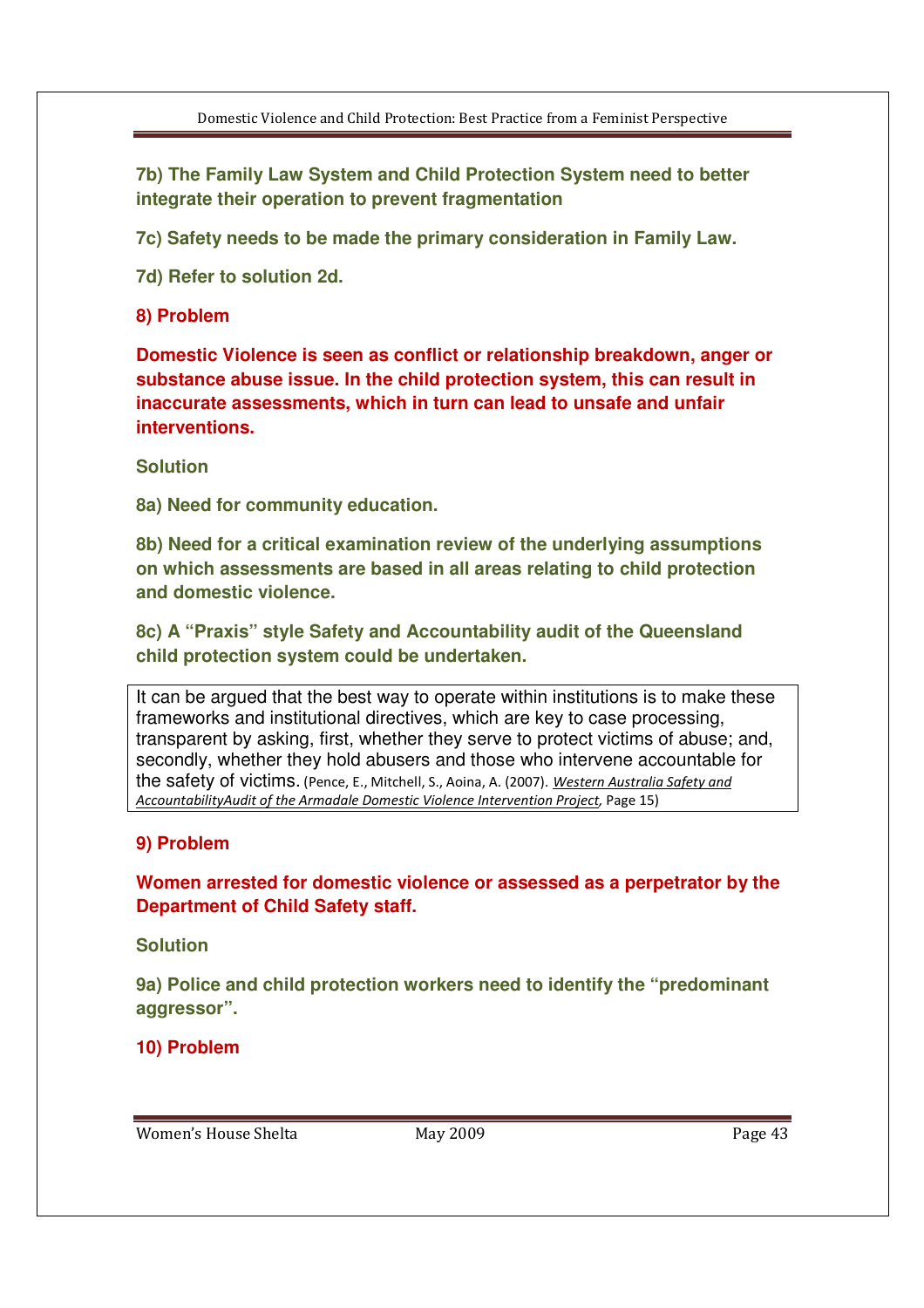**7b) The Family Law System and Child Protection System need to better integrate their operation to prevent fragmentation** 

**7c) Safety needs to be made the primary consideration in Family Law.** 

**7d) Refer to solution 2d.**

## **8) Problem**

**Domestic Violence is seen as conflict or relationship breakdown, anger or substance abuse issue. In the child protection system, this can result in inaccurate assessments, which in turn can lead to unsafe and unfair interventions.**

#### **Solution**

**8a) Need for community education.** 

**8b) Need for a critical examination review of the underlying assumptions on which assessments are based in all areas relating to child protection and domestic violence.** 

**8c) A "Praxis" style Safety and Accountability audit of the Queensland child protection system could be undertaken.**

It can be argued that the best way to operate within institutions is to make these frameworks and institutional directives, which are key to case processing, transparent by asking, first, whether they serve to protect victims of abuse; and, secondly, whether they hold abusers and those who intervene accountable for the safety of victims. (Pence, E., Mitchell, S., Aoina, A. (2007). Western Australia Safety and AccountabilityAudit of the Armadale Domestic Violence Intervention Project, Page 15)

## **9) Problem**

**Women arrested for domestic violence or assessed as a perpetrator by the Department of Child Safety staff.** 

**Solution** 

**9a) Police and child protection workers need to identify the "predominant aggressor".** 

**10) Problem**